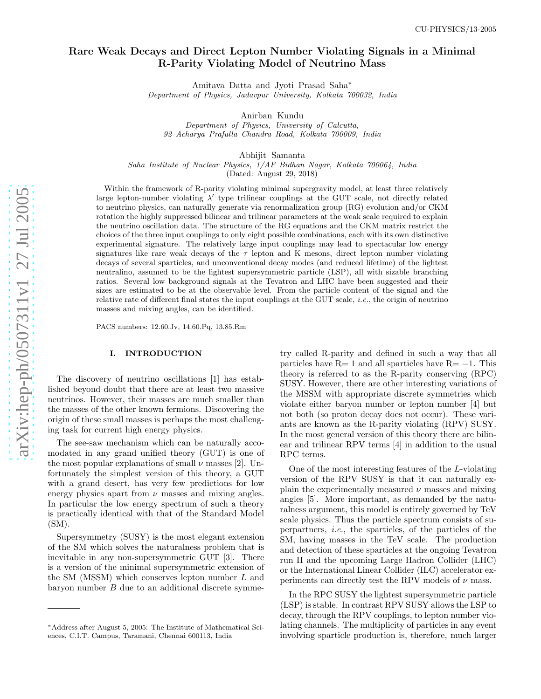# Rare Weak Decays and Direct Lepton Number Violating Signals in a Minimal R-Parity Violating Model of Neutrino Mass

Amitava Datta and Jyoti Prasad Saha ∗ Department of Physics, Jadavpur University, Kolkata 700032, India

Anirban Kundu

Department of Physics, University of Calcutta, 92 Acharya Prafulla Chandra Road, Kolkata 700009, India

Abhijit Samanta

Saha Institute of Nuclear Physics, 1/AF Bidhan Nagar, Kolkata 700064, India (Dated: August 29, 2018)

Within the framework of R-parity violating minimal supergravity model, at least three relatively large lepton-number violating  $\lambda'$  type trilinear couplings at the GUT scale, not directly related to neutrino physics, can naturally generate via renormalization group (RG) evolution and/or CKM rotation the highly suppressed bilinear and trilinear parameters at the weak scale required to explain the neutrino oscillation data. The structure of the RG equations and the CKM matrix restrict the choices of the three input couplings to only eight possible combinations, each with its own distinctive experimental signature. The relatively large input couplings may lead to spectacular low energy signatures like rare weak decays of the  $\tau$  lepton and K mesons, direct lepton number violating decays of several sparticles, and unconventional decay modes (and reduced lifetime) of the lightest neutralino, assumed to be the lightest supersymmetric particle (LSP), all with sizable branching ratios. Several low background signals at the Tevatron and LHC have been suggested and their sizes are estimated to be at the observable level. From the particle content of the signal and the relative rate of different final states the input couplings at the GUT scale, i.e., the origin of neutrino masses and mixing angles, can be identified.

PACS numbers: 12.60.Jv, 14.60.Pq, 13.85.Rm

## I. INTRODUCTION

The discovery of neutrino oscillations [1] has established beyond doubt that there are at least two massive neutrinos. However, their masses are much smaller than the masses of the other known fermions. Discovering the origin of these small masses is perhaps the most challenging task for current high energy physics.

The see-saw mechanism which can be naturally accomodated in any grand unified theory (GUT) is one of the most popular explanations of small  $\nu$  masses [2]. Unfortunately the simplest version of this theory, a GUT with a grand desert, has very few predictions for low energy physics apart from  $\nu$  masses and mixing angles. In particular the low energy spectrum of such a theory is practically identical with that of the Standard Model (SM).

Supersymmetry (SUSY) is the most elegant extension of the SM which solves the naturalness problem that is inevitable in any non-supersymmetric GUT [3]. There is a version of the minimal supersymmetric extension of the SM (MSSM) which conserves lepton number L and baryon number B due to an additional discrete symme-

try called R-parity and defined in such a way that all particles have  $R=1$  and all sparticles have  $R=-1$ . This theory is referred to as the R-parity conserving (RPC) SUSY. However, there are other interesting variations of the MSSM with appropriate discrete symmetries which violate either baryon number or lepton number [4] but not both (so proton decay does not occur). These variants are known as the R-parity violating (RPV) SUSY. In the most general version of this theory there are bilinear and trilinear RPV terms [4] in addition to the usual RPC terms.

One of the most interesting features of the L-violating version of the RPV SUSY is that it can naturally explain the experimentally measured  $\nu$  masses and mixing angles [5]. More important, as demanded by the naturalness argument, this model is entirely governed by TeV scale physics. Thus the particle spectrum consists of superpartners, i.e., the sparticles, of the particles of the SM, having masses in the TeV scale. The production and detection of these sparticles at the ongoing Tevatron run II and the upcoming Large Hadron Collider (LHC) or the International Linear Collider (ILC) accelerator experiments can directly test the RPV models of  $\nu$  mass.

In the RPC SUSY the lightest supersymmetric particle (LSP) is stable. In contrast RPV SUSY allows the LSP to decay, through the RPV couplings, to lepton number violating channels. The multiplicity of particles in any event involving sparticle production is, therefore, much larger

<sup>∗</sup>Address after August 5, 2005: The Institute of Mathematical Sciences, C.I.T. Campus, Taramani, Chennai 600113, India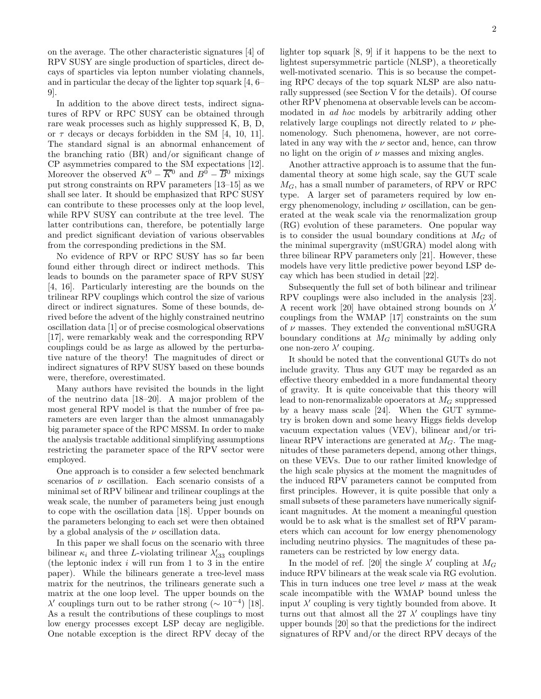on the average. The other characteristic signatures [4] of RPV SUSY are single production of sparticles, direct decays of sparticles via lepton number violating channels, and in particular the decay of the lighter top squark [4, 6– 9].

In addition to the above direct tests, indirect signatures of RPV or RPC SUSY can be obtained through rare weak processes such as highly suppressed K, B, D, or  $\tau$  decays or decays forbidden in the SM [4, 10, 11]. The standard signal is an abnormal enhancement of the branching ratio (BR) and/or significant change of CP asymmetries compared to the SM expectations [12]. Moreover the observed  $K^0 - \overline{K}{}^0$  and  $B^0 - \overline{B}{}^0$  mixings put strong constraints on RPV parameters [13–15] as we shall see later. It should be emphasized that RPC SUSY can contribute to these processes only at the loop level, while RPV SUSY can contribute at the tree level. The latter contributions can, therefore, be potentially large and predict significant deviation of various observables from the corresponding predictions in the SM.

No evidence of RPV or RPC SUSY has so far been found either through direct or indirect methods. This leads to bounds on the parameter space of RPV SUSY [4, 16]. Particularly interesting are the bounds on the trilinear RPV couplings which control the size of various direct or indirect signatures. Some of these bounds, derived before the advent of the highly constrained neutrino oscillation data [1] or of precise cosmological observations [17], were remarkably weak and the corresponding RPV couplings could be as large as allowed by the perturbative nature of the theory! The magnitudes of direct or indirect signatures of RPV SUSY based on these bounds were, therefore, overestimated.

Many authors have revisited the bounds in the light of the neutrino data [18–20]. A major problem of the most general RPV model is that the number of free parameters are even larger than the almost unmanagably big parameter space of the RPC MSSM. In order to make the analysis tractable additional simplifying assumptions restricting the parameter space of the RPV sector were employed.

One approach is to consider a few selected benchmark scenarios of  $\nu$  oscillation. Each scenario consists of a minimal set of RPV bilinear and trilinear couplings at the weak scale, the number of parameters being just enough to cope with the oscillation data [18]. Upper bounds on the parameters belonging to each set were then obtained by a global analysis of the  $\nu$  oscillation data.

In this paper we shall focus on the scenario with three bilinear  $\kappa_i$  and three L-violating trilinear  $\lambda'_{i33}$  couplings (the leptonic index  $i$  will run from 1 to 3 in the entire paper). While the bilinears generate a tree-level mass matrix for the neutrinos, the trilinears generate such a matrix at the one loop level. The upper bounds on the  $\lambda'$  couplings turn out to be rather strong ( $\sim 10^{-4}$ ) [18]. As a result the contributions of these couplings to most low energy processes except LSP decay are negligible. One notable exception is the direct RPV decay of the lighter top squark [8, 9] if it happens to be the next to lightest supersymmetric particle (NLSP), a theoretically well-motivated scenario. This is so because the competing RPC decays of the top squark NLSP are also naturally suppressed (see Section V for the details). Of course other RPV phenomena at observable levels can be accommodated in ad hoc models by arbitrarily adding other relatively large couplings not directly related to  $\nu$  phenomenology. Such phenomena, however, are not correlated in any way with the  $\nu$  sector and, hence, can throw no light on the origin of  $\nu$  masses and mixing angles.

Another attractive approach is to assume that the fundamental theory at some high scale, say the GUT scale  $M_G$ , has a small number of parameters, of RPV or RPC type. A larger set of parameters required by low energy phenomenology, including  $\nu$  oscillation, can be generated at the weak scale via the renormalization group (RG) evolution of these parameters. One popular way is to consider the usual boundary conditions at  $M_G$  of the minimal supergravity (mSUGRA) model along with three bilinear RPV parameters only [21]. However, these models have very little predictive power beyond LSP decay which has been studied in detail [22].

Subsequently the full set of both bilinear and trilinear RPV couplings were also included in the analysis [23]. A recent work [20] have obtained strong bounds on  $\lambda'$ couplings from the WMAP [17] constraints on the sum of  $\nu$  masses. They extended the conventional mSUGRA boundary conditions at  $M<sub>G</sub>$  minimally by adding only one non-zero  $\lambda'$  couping.

It should be noted that the conventional GUTs do not include gravity. Thus any GUT may be regarded as an effective theory embedded in a more fundamental theory of gravity. It is quite conceivable that this theory will lead to non-renormalizable opoerators at  $M_G$  suppressed by a heavy mass scale [24]. When the GUT symmetry is broken down and some heavy Higgs fields develop vacuum expectation values (VEV), bilinear and/or trilinear RPV interactions are generated at  $M<sub>G</sub>$ . The magnitudes of these parameters depend, among other things, on these VEVs. Due to our rather limited knowledge of the high scale physics at the moment the magnitudes of the induced RPV parameters cannot be computed from first principles. However, it is quite possible that only a small subsets of these parameters have numerically significant magnitudes. At the moment a meaningful question would be to ask what is the smallest set of RPV parameters which can account for low energy phenomenology including neutrino physics. The magnitudes of these parameters can be restricted by low energy data.

In the model of ref. [20] the single  $\lambda'$  coupling at  $M_G$ induce RPV bilinears at the weak scale via RG evolution. This in turn induces one tree level  $\nu$  mass at the weak scale incompatible with the WMAP bound unless the input  $\lambda'$  coupling is very tightly bounded from above. It turns out that almost all the  $27 \lambda'$  couplings have tiny upper bounds [20] so that the predictions for the indirect signatures of RPV and/or the direct RPV decays of the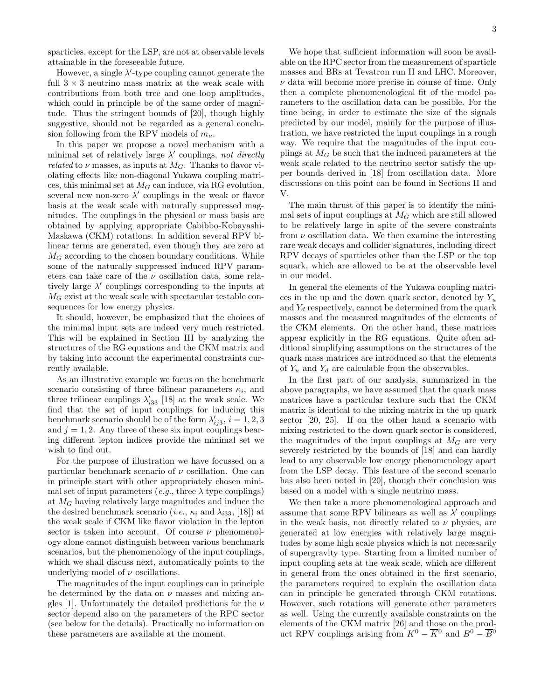sparticles, except for the LSP, are not at observable levels attainable in the foreseeable future.

However, a single  $\lambda'$ -type coupling cannot generate the full  $3 \times 3$  neutrino mass matrix at the weak scale with contributions from both tree and one loop amplitudes, which could in principle be of the same order of magnitude. Thus the stringent bounds of [20], though highly suggestive, should not be regarded as a general conclusion following from the RPV models of  $m_{\nu}$ .

In this paper we propose a novel mechanism with a minimal set of relatively large  $\lambda'$  couplings, not directly *related* to  $\nu$  masses, as inputs at  $M_G$ . Thanks to flavor violating effects like non-diagonal Yukawa coupling matrices, this minimal set at  $M_G$  can induce, via RG evolution, several new non-zero  $\lambda'$  couplings in the weak or flavor basis at the weak scale with naturally suppressed magnitudes. The couplings in the physical or mass basis are obtained by applying appropriate Cabibbo-Kobayashi-Maskawa (CKM) rotations. In addition several RPV bilinear terms are generated, even though they are zero at  $M_G$  according to the chosen boundary conditions. While some of the naturally suppressed induced RPV parameters can take care of the  $\nu$  oscillation data, some relatively large  $\lambda'$  couplings corresponding to the inputs at  $M_G$  exist at the weak scale with spectacular testable consequences for low energy physics.

It should, however, be emphasized that the choices of the minimal input sets are indeed very much restricted. This will be explained in Section III by analyzing the structures of the RG equations and the CKM matrix and by taking into account the experimental constraints currently available.

As an illustrative example we focus on the benchmark scenario consisting of three bilinear parameters  $\kappa_i$ , and three trilinear couplings  $\lambda'_{i33}$  [18] at the weak scale. We find that the set of input couplings for inducing this benchmark scenario should be of the form  $\lambda'_{ij3}$ ,  $i = 1, 2, 3$ and  $j = 1, 2$ . Any three of these six input couplings bearing different lepton indices provide the minimal set we wish to find out.

For the purpose of illustration we have focussed on a particular benchmark scenario of  $\nu$  oscillation. One can in principle start with other appropriately chosen minimal set of input parameters (e.g., three  $\lambda$  type couplings) at  $M_G$  having relatively large magnitudes and induce the the desired benchmark scenario (*i.e.*,  $\kappa_i$  and  $\lambda_{i33}$ , [18]) at the weak scale if CKM like flavor violation in the lepton sector is taken into account. Of course  $\nu$  phenomenology alone cannot distinguish between various benchmark scenarios, but the phenomenology of the input couplings, which we shall discuss next, automatically points to the underlying model of  $\nu$  oscillations.

The magnitudes of the input couplings can in principle be determined by the data on  $\nu$  masses and mixing angles [1]. Unfortunately the detailed predictions for the  $\nu$ sector depend also on the parameters of the RPC sector (see below for the details). Practically no information on these parameters are available at the moment.

able on the RPC sector from the measurement of sparticle masses and BRs at Tevatron run II and LHC. Moreover,  $\nu$  data will become more precise in course of time. Only then a complete phenomenological fit of the model parameters to the oscillation data can be possible. For the time being, in order to estimate the size of the signals predicted by our model, mainly for the purpose of illustration, we have restricted the input couplings in a rough way. We require that the magnitudes of the input couplings at  $M_G$  be such that the induced parameters at the weak scale related to the neutrino sector satisfy the upper bounds derived in [18] from oscillation data. More discussions on this point can be found in Sections II and V.

The main thrust of this paper is to identify the minimal sets of input couplings at  $M<sub>G</sub>$  which are still allowed to be relatively large in spite of the severe constraints from  $\nu$  oscillation data. We then examine the interesting rare weak decays and collider signatures, including direct RPV decays of sparticles other than the LSP or the top squark, which are allowed to be at the observable level in our model.

In general the elements of the Yukawa coupling matrices in the up and the down quark sector, denoted by  $Y_u$ and  $Y_d$  respectively, cannot be determined from the quark masses and the measured magnitudes of the elements of the CKM elements. On the other hand, these matrices appear explicitly in the RG equations. Quite often additional simplifying assumptions on the structures of the quark mass matrices are introduced so that the elements of  $Y_u$  and  $Y_d$  are calculable from the observables.

In the first part of our analysis, summarized in the above paragraphs, we have assumed that the quark mass matrices have a particular texture such that the CKM matrix is identical to the mixing matrix in the up quark sector [20, 25]. If on the other hand a scenario with mixing restricted to the down quark sector is considered, the magnitudes of the input couplings at  $M<sub>G</sub>$  are very severely restricted by the bounds of [18] and can hardly lead to any observable low energy phenomenology apart from the LSP decay. This feature of the second scenario has also been noted in [20], though their conclusion was based on a model with a single neutrino mass.

We then take a more phenomenological approach and assume that some RPV bilinears as well as  $\lambda'$  couplings in the weak basis, not directly related to  $\nu$  physics, are generated at low energies with relatively large magnitudes by some high scale physics which is not necessarily of supergravity type. Starting from a limited number of input coupling sets at the weak scale, which are different in general from the ones obtained in the first scenario, the parameters required to explain the oscillation data can in principle be generated through CKM rotations. However, such rotations will generate other parameters as well. Using the currently available constraints on the elements of the CKM matrix [26] and those on the product RPV couplings arising from  $K^0 - \overline{K}{}^0$  and  $B^0 - \overline{B}{}^0$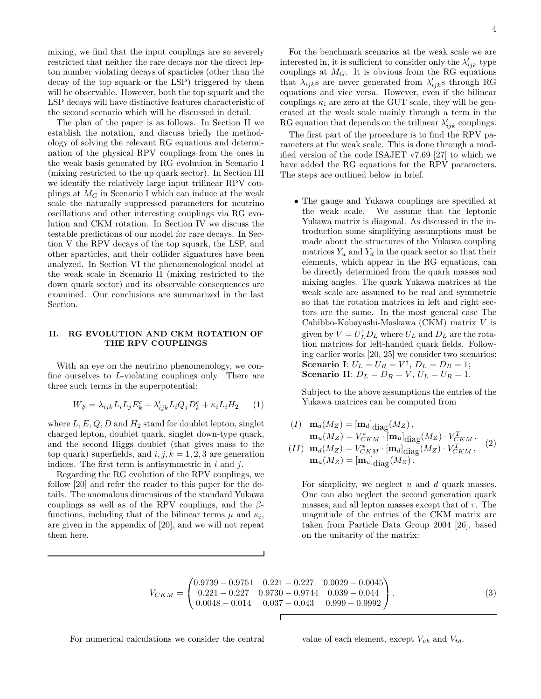mixing, we find that the input couplings are so severely restricted that neither the rare decays nor the direct lepton number violating decays of sparticles (other than the decay of the top squark or the LSP) triggered by them will be observable. However, both the top squark and the LSP decays will have distinctive features characteristic of the second scenario which will be discussed in detail.

The plan of the paper is as follows. In Section II we establish the notation, and discuss briefly the methodology of solving the relevant RG equations and determination of the physical RPV couplings from the ones in the weak basis generated by RG evolution in Scenario I (mixing restricted to the up quark sector). In Section III we identify the relatively large input trilinear RPV couplings at  $M_G$  in Scenario I which can induce at the weak scale the naturally suppressed parameters for neutrino oscillations and other interesting couplings via RG evolution and CKM rotation. In Section IV we discuss the testable predictions of our model for rare decays. In Section V the RPV decays of the top squark, the LSP, and other sparticles, and their collider signatures have been analyzed. In Section VI the phenomenological model at the weak scale in Scenario II (mixing restricted to the down quark sector) and its observable consequences are examined. Our conclusions are summarized in the last Section.

## II. RG EVOLUTION AND CKM ROTATION OF THE RPV COUPLINGS

With an eye on the neutrino phenomenology, we confine ourselves to L-violating couplings only. There are three such terms in the superpotential:

$$
W_{\nparallel} = \lambda_{ijk} L_i L_j E_k^c + \lambda'_{ijk} L_i Q_j D_k^c + \kappa_i L_i H_2 \qquad (1)
$$

where  $L, E, Q, D$  and  $H_2$  stand for doublet lepton, singlet charged lepton, doublet quark, singlet down-type quark, and the second Higgs doublet (that gives mass to the top quark) superfields, and i, j,  $k = 1, 2, 3$  are generation indices. The first term is antisymmetric in  $i$  and  $j$ .

Regarding the RG evolution of the RPV couplings, we follow [20] and refer the reader to this paper for the details. The anomalous dimensions of the standard Yukawa couplings as well as of the RPV couplings, and the  $\beta$ functions, including that of the bilinear terms  $\mu$  and  $\kappa_i$ , are given in the appendix of [20], and we will not repeat them here.

For the benchmark scenarios at the weak scale we are interested in, it is sufficient to consider only the  $\lambda'_{ijk}$  type couplings at  $M_G$ . It is obvious from the RG equations that  $\lambda_{ijk}$ s are never generated from  $\lambda'_{ijk}$ s through RG equations and vice versa. However, even if the bilinear couplings  $\kappa_i$  are zero at the GUT scale, they will be generated at the weak scale mainly through a term in the RG equation that depends on the trilinear  $\lambda'_{ijk}$  couplings.

The first part of the procedure is to find the RPV parameters at the weak scale. This is done through a modified version of the code ISAJET v7.69 [27] to which we have added the RG equations for the RPV parameters. The steps are outlined below in brief.

• The gauge and Yukawa couplings are specified at the weak scale. We assume that the leptonic Yukawa matrix is diagonal. As discussed in the introduction some simplifying assumptions must be made about the structures of the Yukawa coupling matrices  $Y_u$  and  $Y_d$  in the quark sector so that their elements, which appear in the RG equations, can be directly determined from the quark masses and mixing angles. The quark Yukawa matrices at the weak scale are assumed to be real and symmetric so that the rotation matrices in left and right sectors are the same. In the most general case The Cabibbo-Kobayashi-Maskawa (CKM) matrix V is given by  $V = U_L^{\dagger} D_L$  where  $U_L$  and  $D_L$  are the rotation matrices for left-handed quark fields. Following earlier works [20, 25] we consider two scenarios: **Scenario I**:  $U_L = U_R = V^{\dagger}$ ,  $D_L = D_R = 1$ ; Scenario II:  $D_L = D_R = V$ ,  $U_L = U_R = 1$ .

Subject to the above assumptions the entries of the Yukawa matrices can be computed from

$$
(I) \mathbf{m}_d(M_Z) = [\mathbf{m}_d]_{\text{diag}}(M_Z),\n\mathbf{m}_u(M_Z) = V_{CKM}^* \cdot [\mathbf{m}_u]_{\text{diag}}(M_Z) \cdot V_{CKM}^T.
$$
\n
$$
(II) \mathbf{m}_d(M_Z) = V_{CKM}^* \cdot [\mathbf{m}_d]_{\text{diag}}(M_Z) \cdot V_{CKM}^T,
$$
\n
$$
(2)
$$

 $\mathbf{m}_u(M_Z) = [\mathbf{m}_u]_{\text{diag}}(M_Z).$ 

For simplicity, we neglect  $u$  and  $d$  quark masses. One can also neglect the second generation quark masses, and all lepton masses except that of  $\tau$ . The magnitude of the entries of the CKM matrix are taken from Particle Data Group 2004 [26], based on the unitarity of the matrix:

$$
V_{CKM} = \begin{pmatrix} 0.9739 - 0.9751 & 0.221 - 0.227 & 0.0029 - 0.0045 \\ 0.221 - 0.227 & 0.9730 - 0.9744 & 0.039 - 0.044 \\ 0.0048 - 0.014 & 0.037 - 0.043 & 0.999 - 0.9992 \end{pmatrix}.
$$
 (3)

For numerical calculations we consider the central value of each element, except  $V_{ub}$  and  $V_{td}$ .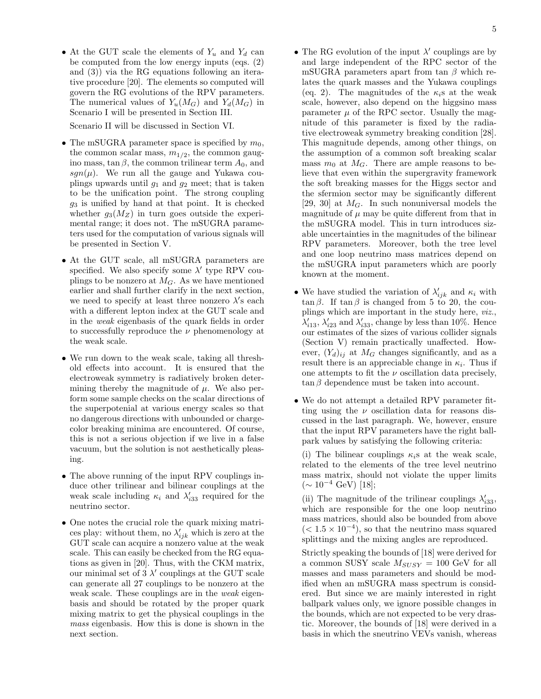• At the GUT scale the elements of  $Y_u$  and  $Y_d$  can be computed from the low energy inputs (eqs. (2) and (3)) via the RG equations following an iterative procedure [20]. The elements so computed will govern the RG evolutions of the RPV parameters. The numerical values of  $Y_u(M_G)$  and  $Y_d(M_G)$  in Scenario I will be presented in Section III.

Scenario II will be discussed in Section VI.

- The mSUGRA parameter space is specified by  $m_0$ , the common scalar mass,  $m_{1/2}$ , the common gaugino mass, tan  $\beta$ , the common trilinear term  $A_0$ , and sgn( $\mu$ ). We run all the gauge and Yukawa couplings upwards until  $g_1$  and  $g_2$  meet; that is taken to be the unification point. The strong coupling  $g_3$  is unified by hand at that point. It is checked whether  $g_3(M_Z)$  in turn goes outside the experimental range; it does not. The mSUGRA parameters used for the computation of various signals will be presented in Section V.
- At the GUT scale, all mSUGRA parameters are specified. We also specify some  $\lambda'$  type RPV couplings to be nonzero at  $M<sub>G</sub>$ . As we have mentioned earlier and shall further clarify in the next section, we need to specify at least three nonzero  $\lambda$ 's each with a different lepton index at the GUT scale and in the weak eigenbasis of the quark fields in order to successfully reproduce the  $\nu$  phenomenology at the weak scale.
- We run down to the weak scale, taking all threshold effects into account. It is ensured that the electroweak symmetry is radiatively broken determining thereby the magnitude of  $\mu$ . We also perform some sample checks on the scalar directions of the superpotenial at various energy scales so that no dangerous directions with unbounded or chargecolor breaking minima are encountered. Of course, this is not a serious objection if we live in a false vacuum, but the solution is not aesthetically pleasing.
- The above running of the input RPV couplings induce other trilinear and bilinear couplings at the weak scale including  $\kappa_i$  and  $\lambda'_{i33}$  required for the neutrino sector.
- One notes the crucial role the quark mixing matrices play: without them, no  $\lambda'_{ijk}$  which is zero at the GUT scale can acquire a nonzero value at the weak scale. This can easily be checked from the RG equations as given in [20]. Thus, with the CKM matrix, our minimal set of  $3 \lambda'$  couplings at the GUT scale can generate all 27 couplings to be nonzero at the weak scale. These couplings are in the *weak* eigenbasis and should be rotated by the proper quark mixing matrix to get the physical couplings in the mass eigenbasis. How this is done is shown in the next section.
- $\bullet$  The RG evolution of the input  $\lambda'$  couplings are by and large independent of the RPC sector of the mSUGRA parameters apart from tan  $\beta$  which relates the quark masses and the Yukawa couplings (eq. 2). The magnitudes of the  $\kappa_i$ s at the weak scale, however, also depend on the higgsino mass parameter  $\mu$  of the RPC sector. Usually the magnitude of this parameter is fixed by the radiative electroweak symmetry breaking condition [28]. This magnitude depends, among other things, on the assumption of a common soft breaking scalar mass  $m_0$  at  $M_G$ . There are ample reasons to believe that even within the supergravity framework the soft breaking masses for the Higgs sector and the sfermion sector may be significantly different [29, 30] at  $M_G$ . In such nonuniversal models the magnitude of  $\mu$  may be quite different from that in the mSUGRA model. This in turn introduces sizable uncertainties in the magnitudes of the bilinear RPV parameters. Moreover, both the tree level and one loop neutrino mass matrices depend on the mSUGRA input parameters which are poorly known at the moment.
- We have studied the variation of  $\lambda'_{ijk}$  and  $\kappa_i$  with  $\tan \beta$ . If  $\tan \beta$  is changed from 5 to 20, the couplings which are important in the study here, viz.,  $\lambda'_{i13}$ ,  $\lambda'_{i23}$  and  $\lambda'_{i33}$ , change by less than 10%. Hence our estimates of the sizes of various collider signals (Section V) remain practically unaffected. However,  $(Y_d)_{ij}$  at  $M_G$  changes significantly, and as a result there is an appreciable change in  $\kappa_i$ . Thus if one attempts to fit the  $\nu$  oscillation data precisely,  $\tan \beta$  dependence must be taken into account.
- We do not attempt a detailed RPV parameter fitting using the  $\nu$  oscillation data for reasons discussed in the last paragraph. We, however, ensure that the input RPV parameters have the right ballpark values by satisfying the following criteria:

(i) The bilinear couplings  $\kappa_i$ s at the weak scale, related to the elements of the tree level neutrino mass matrix, should not violate the upper limits  $(\sim 10^{-4}$  GeV) [18];

(ii) The magnitude of the trilinear couplings  $\lambda'_{i33},$ which are responsible for the one loop neutrino mass matrices, should also be bounded from above  $(< 1.5 \times 10^{-4})$ , so that the neutrino mass squared splittings and the mixing angles are reproduced.

Strictly speaking the bounds of [18] were derived for a common SUSY scale  $M_{SUSY} = 100$  GeV for all masses and mass parameters and should be modified when an mSUGRA mass spectrum is considered. But since we are mainly interested in right ballpark values only, we ignore possible changes in the bounds, which are not expected to be very drastic. Moreover, the bounds of [18] were derived in a basis in which the sneutrino VEVs vanish, whereas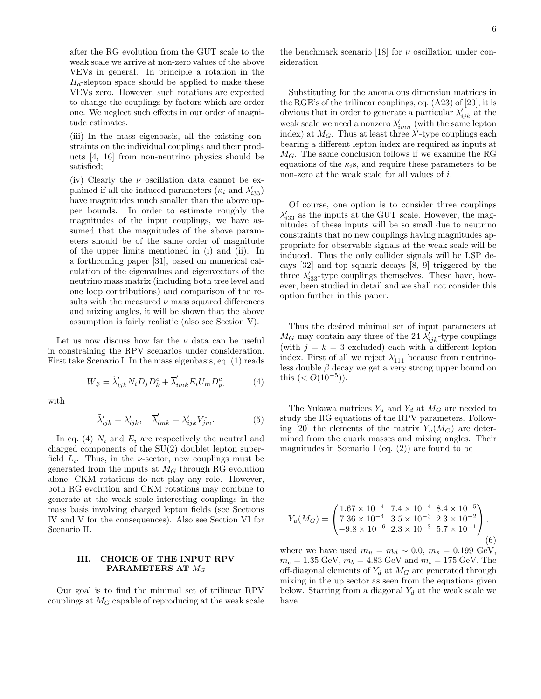after the RG evolution from the GUT scale to the weak scale we arrive at non-zero values of the above VEVs in general. In principle a rotation in the  $H_d$ -slepton space should be applied to make these VEVs zero. However, such rotations are expected to change the couplings by factors which are order one. We neglect such effects in our order of magnitude estimates.

(iii) In the mass eigenbasis, all the existing constraints on the individual couplings and their products [4, 16] from non-neutrino physics should be satisfied;

(iv) Clearly the  $\nu$  oscillation data cannot be explained if all the induced parameters ( $\kappa_i$  and  $\lambda'_{i33}$ ) have magnitudes much smaller than the above upper bounds. In order to estimate roughly the magnitudes of the input couplings, we have assumed that the magnitudes of the above parameters should be of the same order of magnitude of the upper limits mentioned in (i) and (ii). In a forthcoming paper [31], based on numerical calculation of the eigenvalues and eigenvectors of the neutrino mass matrix (including both tree level and one loop contributions) and comparison of the results with the measured  $\nu$  mass squared differences and mixing angles, it will be shown that the above assumption is fairly realistic (also see Section V).

Let us now discuss how far the  $\nu$  data can be useful in constraining the RPV scenarios under consideration. First take Scenario I. In the mass eigenbasis, eq. (1) reads

$$
W_{\mathcal{U}} = \tilde{\lambda}_{ijk}^{\prime} N_i D_j D_k^c + \overline{\lambda}_{imk}^{\prime} E_i U_m D_p^c, \tag{4}
$$

with

$$
\tilde{\lambda}'_{ijk} = \lambda'_{ijk}, \quad \overline{\lambda}'_{imk} = \lambda'_{ijk} V^*_{jm}.\tag{5}
$$

In eq. (4)  $N_i$  and  $E_i$  are respectively the neutral and charged components of the SU(2) doublet lepton superfield  $L_i$ . Thus, in the *v*-sector, new couplings must be generated from the inputs at  $M_G$  through RG evolution alone; CKM rotations do not play any role. However, both RG evolution and CKM rotations may combine to generate at the weak scale interesting couplings in the mass basis involving charged lepton fields (see Sections IV and V for the consequences). Also see Section VI for Scenario II.

# III. CHOICE OF THE INPUT RPV PARAMETERS AT  $M_G$

Our goal is to find the minimal set of trilinear RPV couplings at  $M_G$  capable of reproducing at the weak scale

the benchmark scenario [18] for  $\nu$  oscillation under consideration.

Substituting for the anomalous dimension matrices in the RGE's of the trilinear couplings, eq. (A23) of [20], it is obvious that in order to generate a particular  $\lambda'_{ijk}$  at the weak scale we need a nonzero  $\lambda'_{imn}$  (with the same lepton index) at  $M_G$ . Thus at least three  $\lambda'$ -type couplings each bearing a different lepton index are required as inputs at  $M_G$ . The same conclusion follows if we examine the RG equations of the  $\kappa_i$ s, and require these parameters to be non-zero at the weak scale for all values of i.

Of course, one option is to consider three couplings  $\lambda'_{i33}$  as the inputs at the GUT scale. However, the magnitudes of these inputs will be so small due to neutrino constraints that no new couplings having magnitudes appropriate for observable signals at the weak scale will be induced. Thus the only collider signals will be LSP decays [32] and top squark decays [8, 9] triggered by the three  $\lambda'_{i33}$ -type couplings themselves. These have, however, been studied in detail and we shall not consider this option further in this paper.

Thus the desired minimal set of input parameters at  $M_G$  may contain any three of the 24  $\lambda'_{ijk}$ -type couplings (with  $j = k = 3$  excluded) each with a different lepton index. First of all we reject  $\lambda'_{111}$  because from neutrinoless double  $\beta$  decay we get a very strong upper bound on this  $(< O(10^{-5}))$ .

The Yukawa matrices  $Y_u$  and  $Y_d$  at  $M_G$  are needed to study the RG equations of the RPV parameters. Following [20] the elements of the matrix  $Y_u(M_G)$  are determined from the quark masses and mixing angles. Their magnitudes in Scenario I (eq.  $(2)$ ) are found to be

$$
Y_u(M_G) = \begin{pmatrix} 1.67 \times 10^{-4} & 7.4 \times 10^{-4} & 8.4 \times 10^{-5} \\ 7.36 \times 10^{-4} & 3.5 \times 10^{-3} & 2.3 \times 10^{-2} \\ -9.8 \times 10^{-6} & 2.3 \times 10^{-3} & 5.7 \times 10^{-1} \end{pmatrix},
$$
(6)

where we have used  $m_u = m_d \sim 0.0, m_s = 0.199 \text{ GeV},$  $m_c = 1.35 \text{ GeV}, m_b = 4.83 \text{ GeV} \text{ and } m_t = 175 \text{ GeV}.$  The off-diagonal elements of  $Y_d$  at  $M_G$  are generated through mixing in the up sector as seen from the equations given below. Starting from a diagonal  $Y_d$  at the weak scale we have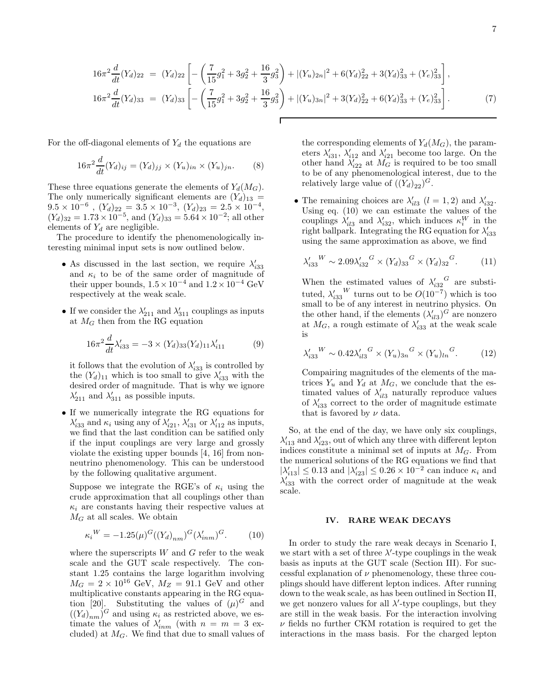$$
16\pi^2 \frac{d}{dt}(Y_d)_{22} = (Y_d)_{22} \left[ -\left( \frac{7}{15} g_1^2 + 3g_2^2 + \frac{16}{3} g_3^2 \right) + |(Y_u)_{2n}|^2 + 6(Y_d)_{22}^2 + 3(Y_d)_{33}^2 + (Y_e)_{33}^2 \right],
$$
  
\n
$$
16\pi^2 \frac{d}{dt}(Y_d)_{33} = (Y_d)_{33} \left[ -\left( \frac{7}{15} g_1^2 + 3g_2^2 + \frac{16}{3} g_3^2 \right) + |(Y_u)_{3n}|^2 + 3(Y_d)_{22}^2 + 6(Y_d)_{33}^2 + (Y_e)_{33}^2 \right].
$$
 (7)

For the off-diagonal elements of  $Y_d$  the equations are

$$
16\pi^2 \frac{d}{dt}(Y_d)_{ij} = (Y_d)_{jj} \times (Y_u)_{in} \times (Y_u)_{jn}.
$$
 (8)

These three equations generate the elements of  $Y_d(M_G)$ . The only numerically significant elements are  $(Y_d)_{13}$  =  $9.5 \times 10^{-6}$ ,  $(Y_d)_{22} = 3.5 \times 10^{-3}$ ,  $(Y_d)_{23} = 2.5 \times 10^{-4}$ ,  $(Y_d)_{32} = 1.73 \times 10^{-5}$ , and  $(Y_d)_{33} = 5.64 \times 10^{-2}$ ; all other elements of  $Y_d$  are negligible.

The procedure to identify the phenomenologically interesting minimal input sets is now outlined below.

- As discussed in the last section, we require  $\lambda'_{i33}$ and  $\kappa_i$  to be of the same order of magnitude of their upper bounds,  $1.5 \times 10^{-4}$  and  $1.2 \times 10^{-4}$  GeV respectively at the weak scale.
- If we consider the  $\lambda'_{211}$  and  $\lambda'_{311}$  couplings as inputs at  $M_G$  then from the RG equation

$$
16\pi^2 \frac{d}{dt} \lambda'_{i33} = -3 \times (Y_d)_{33} (Y_d)_{11} \lambda'_{i11} \tag{9}
$$

it follows that the evolution of  $\lambda'_{33}$  is controlled by the  $(Y_d)_{11}$  which is too small to give  $\lambda'_{i33}$  with the desired order of magnitude. That is why we ignore  $\lambda'_{211}$  and  $\lambda'_{311}$  as possible inputs.

• If we numerically integrate the RG equations for  $\lambda'_{i33}$  and  $\kappa_i$  using any of  $\lambda'_{i21}$ ,  $\lambda'_{i31}$  or  $\lambda'_{i12}$  as inputs, we find that the last condition can be satified only if the input couplings are very large and grossly violate the existing upper bounds [4, 16] from nonneutrino phenomenology. This can be understood by the following qualitative argument.

Suppose we integrate the RGE's of  $\kappa_i$  using the crude approximation that all couplings other than  $\kappa_i$  are constants having their respective values at  $M_G$  at all scales. We obtain

$$
\kappa_i^W = -1.25(\mu)^G((Y_d)_{nm})^G(\lambda'_{inm})^G.
$$
 (10)

where the superscripts  $W$  and  $G$  refer to the weak scale and the GUT scale respectively. The constant 1.25 contains the large logarithm involving  $M_G = 2 \times 10^{16}$  GeV,  $M_Z = 91.1$  GeV and other multiplicative constants appearing in the RG equation [20]. Substituting the values of  $(\mu)^G$  and  $((Y_d)_{nm})^G$  and using  $\kappa_i$  as restricted above, we estimate the values of  $\lambda'_{inm}$  (with  $n = m = 3$  excluded) at  $M_G$ . We find that due to small values of the corresponding elements of  $Y_d(M_G)$ , the parameters  $\lambda'_{i31}$ ,  $\lambda'_{i12}$  and  $\lambda'_{i21}$  become too large. On the other hand  $\lambda'_{i22}$  at  $M_G$  is required to be too small to be of any phenomenological interest, due to the relatively large value of  $((Y_d)_{22})^G$ .

• The remaining choices are  $\lambda'_{i13}$   $(l = 1, 2)$  and  $\lambda'_{i32}$ . Using eq. (10) we can estimate the values of the couplings  $\lambda'_{i13}$  and  $\lambda'_{i32}$ , which induces  $\kappa_i^W$  in the right ballpark. Integrating the RG equation for  $\lambda'_{333}$ using the same approximation as above, we find

$$
\lambda'_{33}{}^W \sim 2.09 \lambda'_{32}{}^G \times (Y_d)_{33}{}^G \times (Y_d)_{32}{}^G. \tag{11}
$$

When the estimated values of  $\lambda'_{332}$ <sup>G</sup> are substituted,  $\lambda'_{33}$ <sup>W</sup> turns out to be  $O(10^{-7})$  which is too small to be of any interest in neutrino physics. On the other hand, if the elements  $(\lambda'_{i13})^G$  are nonzero at  $M_G$ , a rough estimate of  $\lambda'_{33}$  at the weak scale is

$$
\lambda'_{i33}{}^W \sim 0.42 \lambda'_{i13}{}^G \times (Y_u)_{3n}{}^G \times (Y_u)_{ln}{}^G. \tag{12}
$$

Compairing magnitudes of the elements of the matrices  $Y_u$  and  $Y_d$  at  $M_G$ , we conclude that the estimated values of  $\lambda'_{il3}$  naturally reproduce values of  $\lambda'_{33}$  correct to the order of magnitude estimate that is favored by  $\nu$  data.

So, at the end of the day, we have only six couplings,  $\lambda'_{i13}$  and  $\lambda'_{i23}$ , out of which any three with different lepton indices constitute a minimal set of inputs at  $M<sub>G</sub>$ . From the numerical solutions of the RG equations we find that  $|\lambda'_{i13}| \leq 0.13$  and  $|\lambda'_{i23}| \leq 0.26 \times 10^{-2}$  can induce  $\kappa_i$  and  $\lambda'_{i33}$  with the correct order of magnitude at the weak scale.

## IV. RARE WEAK DECAYS

In order to study the rare weak decays in Scenario I, we start with a set of three  $\lambda'$ -type couplings in the weak basis as inputs at the GUT scale (Section III). For successful explanation of  $\nu$  phenomenology, these three couplings should have different lepton indices. After running down to the weak scale, as has been outlined in Section II, we get nonzero values for all  $\lambda'$ -type couplings, but they are still in the weak basis. For the interaction involving  $\nu$  fields no further CKM rotation is required to get the interactions in the mass basis. For the charged lepton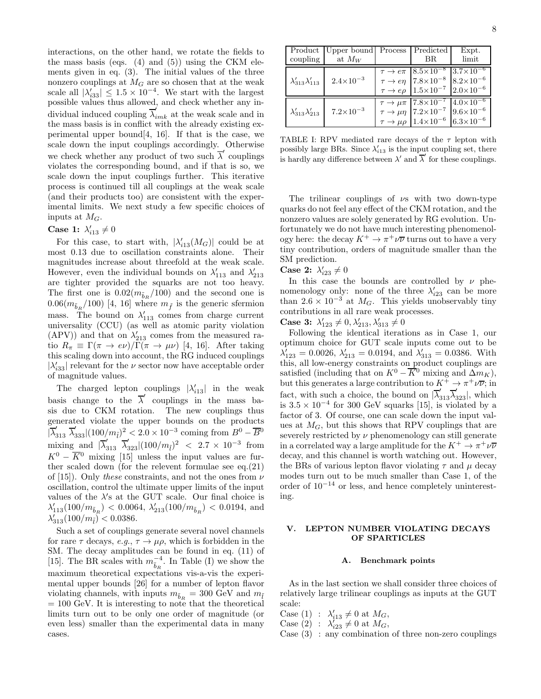interactions, on the other hand, we rotate the fields to the mass basis (eqs.  $(4)$  and  $(5)$ ) using the CKM elements given in eq. (3). The initial values of the three nonzero couplings at  $M_G$  are so chosen that at the weak scale all  $|\lambda'_{33}| \leq 1.5 \times 10^{-4}$ . We start with the largest possible values thus allowed, and check whether any individual induced coupling  $\overline{\lambda}_{imk}^j$  at the weak scale and in the mass basis is in conflict with the already existing experimental upper bound [4, 16]. If that is the case, we scale down the input couplings accordingly. Otherwise we check whether any product of two such  $\overline{\lambda}'$  couplings violates the corresponding bound, and if that is so, we scale down the input couplings further. This iterative process is continued till all couplings at the weak scale (and their products too) are consistent with the experimental limits. We next study a few specific choices of inputs at  $M_G$ .

# Case 1:  $\lambda'_{i13} \neq 0$

For this case, to start with,  $|\lambda'_{i13}(M_G)|$  could be at most 0.13 due to oscillation constraints alone. Their magnitudes increase about threefold at the weak scale. However, even the individual bounds on  $\lambda'_{113}$  and  $\lambda'_{213}$ are tighter provided the squarks are not too heavy. The first one is  $0.02(m_{\tilde{b}_R}/100)$  and the second one is  $0.06(m_{\tilde{b}_R}/100)$  [4, 16] where  $m_{\tilde{f}}$  is the generic sfermion mass. The bound on  $\lambda'_{113}$  comes from charge current universality (CCU) (as well as atomic parity violation (APV)) and that on  $\lambda'_{213}$  comes from the measured ratio  $R_{\pi} \equiv \Gamma(\pi \to e\nu)/\Gamma(\pi \to \mu\nu)$  [4, 16]. After taking this scaling down into account, the RG induced couplings  $|\lambda'_{i33}|$  relevant for the  $\nu$  sector now have acceptable order of magnitude values.

The charged lepton couplings  $|\lambda'_{i13}|$  in the weak basis change to the  $\overline{\lambda}'$  couplings in the mass basis due to CKM rotation. The new couplings thus generated violate the upper bounds on the products  $|\overline{\lambda}'_{313} \ \overline{\lambda}'_{333}| (100/m_{\tilde{l}})^2 < 2.0 \times 10^{-3}$  coming from  $B^0 - \overline{B^0}$ mixing and  $|\overline{\lambda}'_{313} \overline{\lambda}'_{323}| (100/m_{\tilde{l}})^2$  < 2.7 × 10<sup>-3</sup> from  $K^0 - \overline{K}{}^0$  mixing [15] unless the input values are further scaled down (for the relevent formulae see eq.(21) of [15]). Only these constraints, and not the ones from  $\nu$ oscillation, control the ultimate upper limits of the input values of the  $\lambda$ 's at the GUT scale. Our final choice is  $\lambda'_{113}(100/m_{\tilde{b}_R})$  < 0.0064,  $\lambda'_{213}(100/m_{\tilde{b}_R})$  < 0.0194, and  $\lambda'_{313}(100/m_{\tilde{l}}) < 0.0386.$ 

Such a set of couplings generate several novel channels for rare  $\tau$  decays,  $e.g., \tau \to \mu \rho$ , which is forbidden in the SM. The decay amplitudes can be found in eq. (11) of [15]. The BR scales with  $m_{\tilde{b}_R}^{-4}$ . In Table (I) we show the maximum theoretical expectations vis-a-vis the experimental upper bounds [26] for a number of lepton flavor violating channels, with inputs  $m_{\tilde{b}_R} = 300 \text{ GeV}$  and  $m_{\tilde{l}}$  $= 100$  GeV. It is interesting to note that the theoretical limits turn out to be only one order of magnitude (or even less) smaller than the experimental data in many cases.

|                                | Product   Upper bound   Process |                           | Predicted                                                      | Expt.                |
|--------------------------------|---------------------------------|---------------------------|----------------------------------------------------------------|----------------------|
| coupling                       | at $M_W$                        |                           | BR.                                                            | limit                |
|                                |                                 |                           | $\tau \rightarrow e\pi$  8.5×10 <sup>-8</sup>                  | $3.7 \times 10^{-6}$ |
| $\lambda'_{313}\lambda'_{113}$ | $2.4 \times 10^{-3}$            |                           | $\tau \rightarrow e\eta$ 7.8×10 <sup>-8</sup>                  | $8.2 \times 10^{-6}$ |
|                                |                                 | $\tau \rightarrow e \rho$ | $1.5 \times 10^{-7}$ $2.0 \times 10^{-6}$                      |                      |
|                                |                                 |                           | $\tau \to \mu \pi$  7.8×10 <sup>-7</sup>  4.0×10 <sup>-6</sup> |                      |
| $\lambda'_{313}\lambda'_{213}$ | $7.2 \times 10^{-3}$            |                           | $\tau \to \mu \eta$ 7.2×10 <sup>-7</sup> 9.6×10 <sup>-6</sup>  |                      |
|                                |                                 |                           | $\tau \to \mu \rho$   $1.4 \times 10^{-6}$                     | $6.3 \times 10^{-6}$ |

TABLE I: RPV mediated rare decays of the  $\tau$  lepton with possibly large BRs. Since  $\lambda'_{i13}$  is the input coupling set, there is hardly any difference between  $\lambda'$  and  $\overline{\lambda}'$  for these couplings.

The trilinear couplings of  $\nu$ s with two down-type quarks do not feel any effect of the CKM rotation, and the nonzero values are solely generated by RG evolution. Unfortunately we do not have much interesting phenomenology here: the decay  $K^+ \to \pi^+ \nu \overline{\nu}$  turns out to have a very tiny contribution, orders of magnitude smaller than the SM prediction.

Case 2:  $\lambda'_{i23} \neq 0$ 

In this case the bounds are controlled by  $\nu$  phenomenology only: none of the three  $\lambda'_{i23}$  can be more than 2.6 × 10<sup>-3</sup> at  $M_G$ . This yields unobservably tiny contributions in all rare weak processes.

Case 3:  $\lambda'_{123} \neq 0, \lambda'_{213}, \lambda'_{313} \neq 0$ 

Following the identical iterations as in Case 1, our optimum choice for GUT scale inputs come out to be  $\lambda'_{123} = 0.0026, \lambda'_{213} = 0.0194, \text{ and } \lambda'_{313} = 0.0386.$  With this, all low-energy constraints on product couplings are satisfied (including that on  $K^0 - \overline{K}{}^0$  mixing and  $\Delta m_K$ ), but this generates a large contribution to  $K^+ \to \pi^+ \nu \overline{\nu}$ ; in fact, with such a choice, the bound on  $|\overline{\lambda}'_{313}\overline{\lambda}'_{323}|$ , which is  $3.5 \times 10^{-4}$  for 300 GeV squarks [15], is violated by a factor of 3. Of course, one can scale down the input values at  $M_G$ , but this shows that RPV couplings that are severely restricted by  $\nu$  phenomenology can still generate in a correlated way a large amplitude for the  $K^+ \to \pi^+ \nu \overline{\nu}$ decay, and this channel is worth watching out. However, the BRs of various lepton flavor violating  $\tau$  and  $\mu$  decay modes turn out to be much smaller than Case 1, of the order of 10<sup>−</sup><sup>14</sup> or less, and hence completely uninteresting.

## V. LEPTON NUMBER VIOLATING DECAYS OF SPARTICLES

#### A. Benchmark points

As in the last section we shall consider three choices of relatively large trilinear couplings as inputs at the GUT scale:

Case (1) :  $\lambda'_{i13} \neq 0$  at  $M_G$ ,

Case (2) :  $\lambda'_{i23} \neq 0$  at  $M_G$ ,

Case (3) : any combination of three non-zero couplings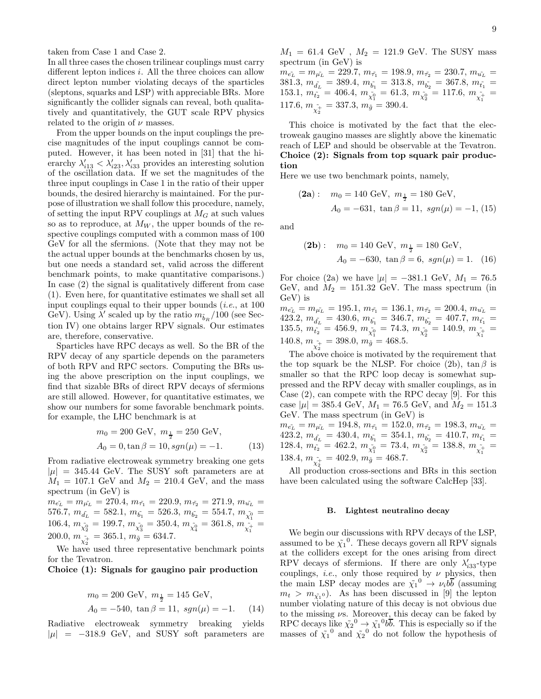taken from Case 1 and Case 2.

In all three cases the chosen trilinear couplings must carry different lepton indices  $i$ . All the three choices can allow direct lepton number violating decays of the sparticles (sleptons, squarks and LSP) with appreciable BRs. More significantly the collider signals can reveal, both qualitatively and quantitatively, the GUT scale RPV physics related to the origin of  $\nu$  masses.

From the upper bounds on the input couplings the precise magnitudes of the input couplings cannot be computed. However, it has been noted in [31] that the hierarchy  $\lambda'_{i13} < \lambda'_{i23}, \lambda'_{i33}$  provides an interesting solution of the oscillation data. If we set the magnitudes of the three input couplings in Case 1 in the ratio of their upper bounds, the desired hierarchy is maintained. For the purpose of illustration we shall follow this procedure, namely, of setting the input RPV couplings at  $M_G$  at such values so as to reproduce, at  $M_W$ , the upper bounds of the respective couplings computed with a common mass of 100 GeV for all the sfermions. (Note that they may not be the actual upper bounds at the benchmarks chosen by us, but one needs a standard set, valid across the different benchmark points, to make quantitative comparisons.) In case (2) the signal is qualitatively different from case (1). Even here, for quantitative estimates we shall set all input couplings equal to their upper bounds  $(i.e., at 100$ GeV). Using  $\lambda'$  scaled up by the ratio  $m_{\tilde b_R}/100$  (see Section IV) one obtains larger RPV signals. Our estimates are, therefore, conservative.

Sparticles have RPC decays as well. So the BR of the RPV decay of any sparticle depends on the parameters of both RPV and RPC sectors. Computing the BRs using the above prescription on the input couplings, we find that sizable BRs of direct RPV decays of sfermions are still allowed. However, for quantitative estimates, we show our numbers for some favorable benchmark points. for example, the LHC benchmark is at

$$
m_0 = 200 \text{ GeV}, \ m_{\frac{1}{2}} = 250 \text{ GeV},
$$
  

$$
A_0 = 0, \tan \beta = 10, \text{sgn}(\mu) = -1.
$$
 (13)

From radiative electroweak symmetry breaking one gets  $|\mu| = 345.44$  GeV. The SUSY soft parameters are at  $M_1 = 107.1 \text{ GeV}$  and  $M_2 = 210.4 \text{ GeV}$ , and the mass spectrum (in GeV) is

 $m_{\tilde{e_L}} = m_{\tilde{\mu_L}} = 270.4, m_{\tilde{\tau_1}} = 220.9, m_{\tilde{\tau_2}} = 271.9, m_{\tilde{u_L}} =$  $576.7, m_{\tilde{d}_L} = 582.1, m_{\tilde{b}_1} = 526.3, m_{\tilde{b}_2} = 554.7, m_{\tilde{\chi}_1^0} =$ 106.4,  $m_{\tilde{\chi}_2^0}^2 = 199.7$ ,  $m_{\tilde{\chi}_3^0}^2 = 350.4$ ,  $m_{\tilde{\chi}_4^0}^2 = 361.8$ ,  $m_{\tilde{\chi}_1^+}^2 =$  $200.0, m_{\tilde{\chi}^+_2} = 365.1, m_{\tilde{g}} = 634.7.$ 

We have used three representative benchmark points for the Tevatron.

Choice (1): Signals for gaugino pair production

$$
m_0 = 200 \text{ GeV}, m_{\frac{1}{2}} = 145 \text{ GeV},
$$
  
\n $A_0 = -540, \tan \beta = 11, \text{sgn}(\mu) = -1.$  (14)

Radiative electroweak symmetry breaking yields  $|\mu|$  = −318.9 GeV, and SUSY soft parameters are

 $M_1 = 61.4 \text{ GeV}$ ,  $M_2 = 121.9 \text{ GeV}$ . The SUSY mass spectrum (in GeV) is

 $m_{\tilde{e_L}} = m_{\tilde{\mu_L}} = 229.7, m_{\tilde{\tau_1}} = 198.9, m_{\tilde{\tau_2}} = 230.7, m_{\tilde{u_L}} =$  $381.3, m_{\tilde{d_L}} = 389.4, m_{\tilde{b_1}} = 313.8, m_{\tilde{b_2}} = 367.8, m_{\tilde{t_1}} =$  $153.1, m_{\tilde{t}_2} = 406.4, m_{\tilde{\chi}_1^0} = 61.3, m_{\tilde{\chi}_2^0} = 117.6, m_{\tilde{\chi}_1^+} =$ 117.6,  $m_{\tilde{\chi}^+_2} = 337.3, m_{\tilde{g}} = 390.4.$ 

This choice is motivated by the fact that the electroweak gaugino masses are slightly above the kinematic reach of LEP and should be observable at the Tevatron. Choice (2): Signals from top squark pair production

Here we use two benchmark points, namely,

(2a): 
$$
m_0 = 140 \text{ GeV}, m_{\frac{1}{2}} = 180 \text{ GeV},
$$
  
\n $A_0 = -631, \tan \beta = 11, \text{sgn}(\mu) = -1, (15)$ 

and

(2b): 
$$
m_0 = 140 \text{ GeV}, m_{\frac{1}{2}} = 180 \text{ GeV},
$$
  
\n $A_0 = -630, \tan \beta = 6, \text{sgn}(\mu) = 1.$  (16)

For choice (2a) we have  $|\mu| = -381.1$  GeV,  $M_1 = 76.5$ GeV, and  $M_2 = 151.32$  GeV. The mass spectrum (in GeV) is

 $m_{\tilde{e_L}} = m_{\tilde{\mu_L}} = 195.1, m_{\tilde{\tau_1}} = 136.1, m_{\tilde{\tau_2}} = 200.4, m_{\tilde{u_L}} =$  $423.2, m_{\tilde{d_L}} = 430.6, m_{\tilde{b_1}} = 346.7, m_{\tilde{b_2}} = 407.7, m_{\tilde{t_1}} =$  $135.5, m_{\tilde{t_2}} = 456.9, m_{\tilde{\chi_1^0}} = 74.3, m_{\tilde{\chi_2^0}} = 140.9, m_{\tilde{\chi_1^+}} =$  $140.8, m_{\tilde{\chi}^+_2} = 398.0, m_{\tilde{g}} = 468.5.$ 

The above choice is motivated by the requirement that the top squark be the NLSP. For choice (2b),  $\tan \beta$  is smaller so that the RPC loop decay is somewhat suppressed and the RPV decay with smaller couplings, as in Case (2), can compete with the RPC decay [9]. For this case  $|\mu| = 385.4$  GeV,  $M_1 = 76.5$  GeV, and  $M_2 = 151.3$ GeV. The mass spectrum (in GeV) is

 $m_{\tilde{e_L}} = m_{\tilde{\mu_L}} = 194.8, m_{\tilde{\tau_1}} = 152.0, m_{\tilde{\tau_2}} = 198.3, m_{\tilde{u_L}} =$  $423.2, m_{\tilde{d_L}} = 430.4, m_{\tilde{b_1}} = 354.1, m_{\tilde{b_2}} = 410.7, m_{\tilde{t_1}} =$  $128.4, m_{\tilde{t_2}} = 462.2, m_{\tilde{\chi_1^0}} = 73.4, m_{\tilde{\chi_2^0}} = 138.8, m_{\tilde{\chi_1^+}} =$ 138.4,  $m_{\tilde{\chi}^+_2} = 402.9, m_{\tilde{g}} = 468.7.$ 

All production cross-sections and BRs in this section have been calculated using the software CalcHep [33].

#### B. Lightest neutralino decay

We begin our discussions with RPV decays of the LSP, assumed to be  $\tilde{\chi_1}^0$ . These decays govern all RPV signals at the colliders except for the ones arising from direct RPV decays of sfermions. If there are only  $\lambda'_{33}$ -type couplings, *i.e.*, only those required by  $\nu$  physics, then the main LSP decay modes are  $\tilde{\chi_1}^0 \rightarrow \nu_i b \overline{b}$  (assuming  $m_t > m_{\tilde{\chi_1}^0}$ . As has been discussed in [9] the lepton number violating nature of this decay is not obvious due to the missing  $\nu$ s. Moreover, this decay can be faked by RPC decays like  $\tilde{\chi_2}^0 \to \tilde{\chi_1}^0 b\overline{b}$ . This is especially so if the masses of  $\tilde{\chi_1}^0$  and  $\tilde{\chi_2}^0$  do not follow the hypothesis of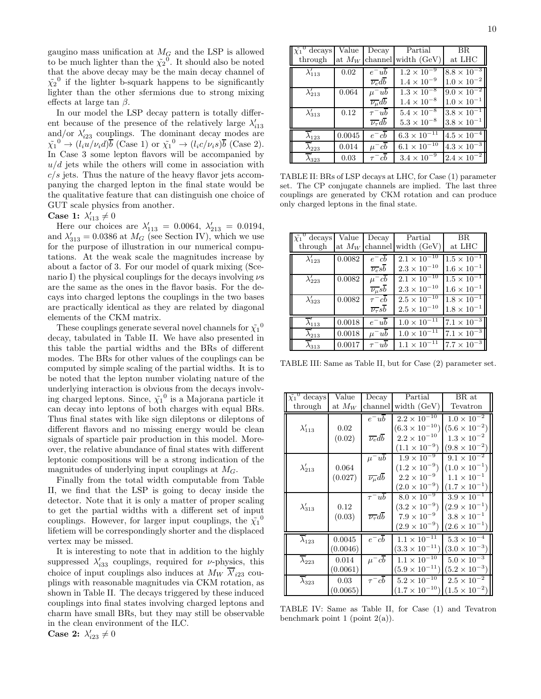gaugino mass unification at  $M_G$  and the LSP is allowed to be much lighter than the  $\tilde{\chi_2}^0$ . It should also be noted that the above decay may be the main decay channel of  $\tilde{\chi_2}^0$  if the lighter b-squark happens to be significantly lighter than the other sfermions due to strong mixing effects at large tan  $\beta$ .

In our model the LSP decay pattern is totally different because of the presence of the relatively large  $\lambda'_{i13}$ and/or  $\lambda'_{i23}$  couplings. The dominant decay modes are  $\tilde{\chi_1}^0 \to (l_i u/\nu_i d)\overline{b}$  (Case 1) or  $\tilde{\chi_1}^0 \to (l_i c/\nu_i s)\overline{b}$  (Case 2). In Case 3 some lepton flavors will be accompanied by  $u/d$  jets while the others will come in association with  $c/s$  jets. Thus the nature of the heavy flavor jets accompanying the charged lepton in the final state would be the qualitative feature that can distinguish one choice of GUT scale physics from another.

# Case 1:  $\lambda'_{i13} \neq 0$

Here our choices are  $\lambda'_{113} = 0.0064, \lambda'_{213} = 0.0194,$ and  $\lambda'_{313} = 0.0386$  at  $M_G$  (see Section IV), which we use for the purpose of illustration in our numerical computations. At the weak scale the magnitudes increase by about a factor of 3. For our model of quark mixing (Scenario I) the physical couplings for the decays involving  $\nu$ s are the same as the ones in the flavor basis. For the decays into charged leptons the couplings in the two bases are practically identical as they are related by diagonal elements of the CKM matrix.

These couplings generate several novel channels for  $\tilde{\chi_1}^0$ decay, tabulated in Table II. We have also presented in this table the partial widths and the BRs of different modes. The BRs for other values of the couplings can be computed by simple scaling of the partial widths. It is to be noted that the lepton number violating nature of the underlying interaction is obvious from the decays involving charged leptons. Since,  $\tilde{\chi_1}^0$  is a Majorana particle it can decay into leptons of both charges with equal BRs. Thus final states with like sign dileptons or dileptons of different flavors and no missing energy would be clean signals of sparticle pair production in this model. Moreover, the relative abundance of final states with different leptonic compositions will be a strong indication of the magnitudes of underlying input couplings at  $M<sub>G</sub>$ .

Finally from the total width computable from Table II, we find that the LSP is going to decay inside the detector. Note that it is only a matter of proper scaling to get the partial widths with a different set of input couplings. However, for larger input couplings, the  $\tilde{\chi_1}^0$ lifetiem will be correspondingly shorter and the displaced vertex may be missed.

It is interesting to note that in addition to the highly suppressed  $\lambda'_{i33}$  couplings, required for *v*-physics, this choice of input couplings also induces at  $M_W$   $\overline{\lambda'}_{i23}$  couplings with reasonable magnitudes via CKM rotation, as shown in Table II. The decays triggered by these induced couplings into final states involving charged leptons and charm have small BRs, but they may still be observable in the clean environment of the ILC.

Case 2:  $\lambda'_{i23} \neq 0$ 

| $\tilde{\chi_1}^0$ decays         | Value    | Decav                                | Partial               | BR                   |
|-----------------------------------|----------|--------------------------------------|-----------------------|----------------------|
| through                           | at $M_W$ |                                      | channel width (GeV)   | at ${\rm LHC}$       |
| $\lambda'_{113}$                  | 0.02     | $e^-ub$                              | $1.2 \times 10^{-9}$  | $8.8 \times 10^{-3}$ |
|                                   |          | $\overline{\nu_e}db$                 | $1.4 \times 10^{-9}$  | $1.0 \times 10^{-2}$ |
| $\lambda'_{213}$                  | 0.064    | $\mu^- u b$                          | $1.3 \times 10^{-8}$  | $9.0 \times 10^{-2}$ |
|                                   |          | $\overline{\nu_\mu}d\overline{b}$    | $1.4\times10^{-8}$    | $1.0 \times 10^{-1}$ |
| $\lambda'_{313}$                  | 0.12     | $\tau^- u b$                         | $5.4 \times 10^{-8}$  | $3.8 \times 10^{-1}$ |
|                                   |          | $\overline{\nu_{\tau}}d\overline{b}$ | $5.3 \times 10^{-8}$  | $3.8 \times 10^{-1}$ |
| $\overline{\lambda}'_{123}$       | 0.0045   | $e^-cb$                              | $6.3 \times 10^{-11}$ | $4.5 \times 10^{-4}$ |
| $\overline{\lambda}^\prime_{223}$ | 0.014    | $\mu^- c\overline{b}$                | $6.1 \times 10^{-10}$ | $4.3 \times 10^{-3}$ |
| $\bar{\lambda}_{323}^{\prime}$    | 0.03     | $\tau^- c\overline{b}$               | $3.4 \times 10^{-9}$  | $2.4 \times 10^{-2}$ |

TABLE II: BRs of LSP decays at LHC, for Case (1) parameter set. The CP conjugate channels are implied. The last three couplings are generated by CKM rotation and can produce only charged leptons in the final state.

| $\tilde{\chi_1}^0$ decays   | Value  | Decav                      | Partial                      | <b>BR</b>                       |
|-----------------------------|--------|----------------------------|------------------------------|---------------------------------|
| through                     |        |                            | at $M_W$ channel width (GeV) | at LHC                          |
| $\lambda'_{123}$            | 0.0082 | $e^-cb$                    | $2.1 \times 10^{-10}$        | $1.5 \times 10^{-1}$            |
|                             |        | $\overline{\nu_e}$ sb      | $2.3 \times 10^{-10}$        | $1.6 \times 10^{-1}$            |
| $\lambda'_{223}$            | 0.0082 | $\mu^- cb$                 | $2.1 \times 10^{-10}$        | $\overline{1.5 \times 10^{-1}}$ |
|                             |        | $\overline{\nu_{\mu}}$ sb  | $2.3 \times 10^{-10}$        | $1.6\times10^{-1}$              |
| $\lambda'_{323}$            | 0.0082 | $\tau^- cb$                | $2.5 \times 10^{-10}$        | $1.8 \times 10^{-1}$            |
|                             |        | $\overline{\nu_{\tau}}$ sb | $2.5\times10^{-10}$          | $1.8 \times 10^{-1}$            |
| $\overline{\lambda}'_{113}$ | 0.0018 | $e^-u\overline{b}$         | $1.0 \times 10^{-11}$        | $7.1 \times 10^{-3}$            |
| $\overline{\lambda}'_{213}$ | 0.0018 | $\mu^- u b$                | $1.0 \times 10^{-11}$        | $7.1 \times 10^{-3}$            |
| $\overline{\lambda}'_{313}$ | 0.0017 | $\tau^- u b$               | $1.1 \times 10^{-11}$        | $7.7 \times 10^{-3}$            |

TABLE III: Same as Table II, but for Case (2) parameter set.

| $\tilde{\chi_1}^0$ decays   | Value    | Decay                               | Partial                          | BR at                           |
|-----------------------------|----------|-------------------------------------|----------------------------------|---------------------------------|
| through                     | at $M_W$ | channel                             | width $(GeV)$                    | Tevatron                        |
|                             |          | $e^-ub$                             | $2.2 \times \overline{10^{-10}}$ | $1.0 \times \overline{10^{-2}}$ |
| $\lambda'_{113}$            | 0.02     |                                     | $(6.3 \times 10^{-10})$          | $(5.6 \times 10^{-2})$          |
|                             | (0.02)   | $\overline{\nu_e}d\overline{b}$     | $2.2\times10^{-10}$              | $1.3 \times 10^{-2}$            |
|                             |          |                                     | $(1.1 \times 10^{-9})$           | $(9.8 \times 10^{-2})$          |
|                             |          | $\mu^- u b$                         | $1.9 \times 10^{-9}$             | $9.1 \times 10^{-2}$            |
| $\lambda'_{213}$            | 0.064    |                                     | $(1.2 \times 10^{-9})$           | $(1.0 \times 10^{-1})$          |
|                             | (0.027)  | $\overline{\nu_{\mu}}d\overline{b}$ | $2.2\times10^{-9}$               | $1.1 \times 10^{-1}$            |
|                             |          |                                     | $(2.0 \times 10^{-9})$           | $(1.7 \times 10^{-1})$          |
|                             |          | $\tau^- u b$                        | $8.0 \times 10^{-9}$             | $3.9 \times 10^{-1}$            |
| $\lambda'_{313}$            | 0.12     |                                     | $(3.2 \times 10^{-9})$           | $(2.9 \times 10^{-1})$          |
|                             | (0.03)   | $\overline{\nu_{\tau}}db$           | $7.9 \times 10^{-9}$             | $3.8 \times 10^{-1}$            |
|                             |          |                                     | $(2.9 \times 10^{-9})$           | $(2.6 \times 10^{-1})$          |
| $\overline{\lambda}'_{123}$ | 0.0045   | $e^-cb$                             | $1.1 \times 10^{-11}$            | $5.3 \times 10^{-4}$            |
|                             | (0.0046) |                                     | $(3.3 \times 10^{-11})$          | $(3.0 \times 10^{-3})$          |
| $\overline{\lambda}'_{223}$ | 0.014    | $\mu^-cb$                           | $1.1 \times 10^{-10}$            | $5.0 \times 10^{-3}$            |
|                             | (0.0061) |                                     | $(5.9 \times 10^{-11})$          | $(5.2 \times 10^{-3})$          |
| $\overline{\lambda}'_{323}$ | 0.03     | $\tau^- cb$                         | $5.2 \times 10^{-10}$            | $2.5 \times 10^{-2}$            |
|                             | (0.0065) |                                     | $(1.7 \times 10^{-10})$          | $(1.5 \times 10^{-2})$          |

TABLE IV: Same as Table II, for Case (1) and Tevatron benchmark point 1 (point 2(a)).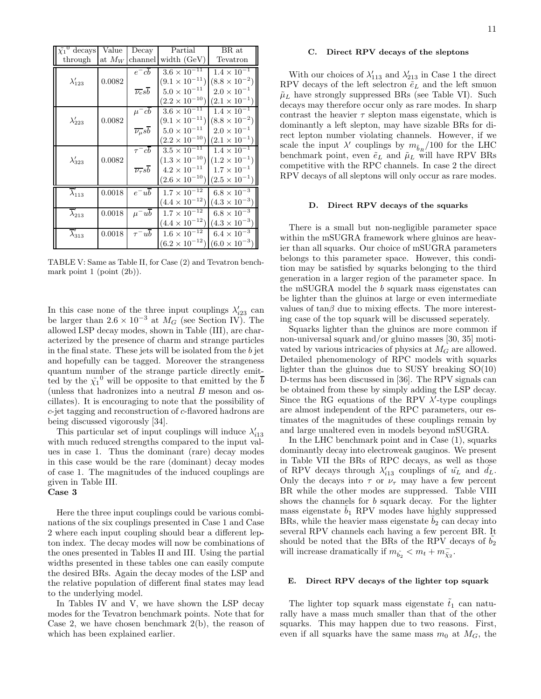| $\tilde{\chi_1}^0$ decays   | Value    | Decay                                 | Partial                          | BR at                  |
|-----------------------------|----------|---------------------------------------|----------------------------------|------------------------|
| through                     | at $M_W$ | channel                               | width $(GeV)$                    | Tevatron               |
|                             |          | $e^-cb$                               | $3.6 \times \overline{10^{-11}}$ | $1.4 \times 10^{-1}$   |
| $\lambda'_{123}$            | 0.0082   |                                       | $(9.1 \times 10^{-11})$          | $(8.8 \times 10^{-2})$ |
|                             |          | $\overline{\nu_e s b}$                | $5.0 \times 10^{-11}$            | $2.0 \times 10^{-1}$   |
|                             |          |                                       | $(2.2 \times 10^{-10})$          | $(2.1 \times 10^{-1})$ |
|                             |          | $\mu^- cb$                            | $3.6 \times 10^{-11}$            | $1.4 \times 10^{-1}$   |
| $\lambda'_{223}$            | 0.0082   |                                       | $(9.1 \times 10^{-11})$          | $(8.8 \times 10^{-2})$ |
|                             |          | $\overline{\nu_{\mu}} s \overline{b}$ | $5.0 \times 10^{-11}$            | $2.0 \times 10^{-1}$   |
|                             |          |                                       | $(2.2 \times 10^{-10})$          | $(2.1 \times 10^{-1})$ |
|                             |          | $\tau^-cb$                            | $3.5 \times 10^{-11}$            | $1.4 \times 10^{-1}$   |
| $\lambda'_{323}$            | 0.0082   |                                       | $(1.3 \times 10^{-10})$          | $(1.2 \times 10^{-1})$ |
|                             |          | $\overline{\nu_{\tau}} s\overline{b}$ | $4.2\times10^{-11}$              | $1.7 \times 10^{-1}$   |
|                             |          |                                       | $(2.6 \times 10^{-10})$          | $(2.5 \times 10^{-1})$ |
| $\overline{\lambda}'_{113}$ | 0.0018   | $e^-u\overline{b}$                    | $1.7\times10^{-12}$              | $6.8 \times 10^{-3}$   |
|                             |          |                                       | $(4.4 \times 10^{-12})$          | $(4.3 \times 10^{-3})$ |
| $\overline{\lambda}_{213}'$ | 0.0018   | $\mu^- u b$                           | $1.7 \times 10^{-12}$            | $6.8\times10^{-3}$     |
|                             |          |                                       | $(4.4 \times 10^{-12})$          | $(4.3 \times 10^{-3})$ |
| $\overline{\lambda}'_{313}$ | 0.0018   | $\tau^- u b$                          | $1.6\times10^{-12}$              | $6.4 \times 10^{-3}$   |
|                             |          |                                       | $(6.2 \times 10^{-12})$          | $(6.0 \times 10^{-3})$ |

TABLE V: Same as Table II, for Case (2) and Tevatron benchmark point  $1$  (point  $(2b)$ ).

In this case none of the three input couplings  $\lambda'_{23}$  can be larger than  $2.6 \times 10^{-3}$  at  $M_G$  (see Section IV). The allowed LSP decay modes, shown in Table (III), are characterized by the presence of charm and strange particles in the final state. These jets will be isolated from the b jet and hopefully can be tagged. Moreover the strangeness quantum number of the strange particle directly emitted by the  $\tilde{\chi_1}^0$  will be opposite to that emitted by the  $\overline{b}$ (unless that hadronizes into a neutral B meson and oscillates). It is encouraging to note that the possibility of c-jet tagging and reconstruction of c-flavored hadrons are being discussed vigorously [34].

This particular set of input couplings will induce  $\lambda'_{i13}$ with much reduced strengths compared to the input values in case 1. Thus the dominant (rare) decay modes in this case would be the rare (dominant) decay modes of case 1. The magnitudes of the induced couplings are given in Table III.

# Case 3

Here the three input couplings could be various combinations of the six couplings presented in Case 1 and Case 2 where each input coupling should bear a different lepton index. The decay modes will now be combinations of the ones presented in Tables II and III. Using the partial widths presented in these tables one can easily compute the desired BRs. Again the decay modes of the LSP and the relative population of different final states may lead to the underlying model.

In Tables IV and V, we have shown the LSP decay modes for the Tevatron benchmark points. Note that for Case 2, we have chosen benchmark  $2(b)$ , the reason of which has been explained earlier.

## C. Direct RPV decays of the sleptons

With our choices of  $\lambda'_{113}$  and  $\lambda'_{213}$  in Case 1 the direct RPV decays of the left selectron  $\tilde{e}_L$  and the left smuon  $\tilde{\mu}_L$  have strongly suppressed BRs (see Table VI). Such decays may therefore occur only as rare modes. In sharp contrast the heavier  $\tau$  slepton mass eigenstate, which is dominantly a left slepton, may have sizable BRs for direct lepton number violating channels. However, if we scale the input  $\lambda'$  couplings by  $m_{\tilde{b}_R}/100$  for the LHC benchmark point, even  $\tilde{e}_L$  and  $\tilde{\mu}_L$  will have RPV BRs competitive with the RPC channels. In case 2 the direct RPV decays of all sleptons will only occur as rare modes.

## D. Direct RPV decays of the squarks

There is a small but non-negligible parameter space within the mSUGRA framework where gluinos are heavier than all squarks. Our choice of mSUGRA parameters belongs to this parameter space. However, this condition may be satisfied by squarks belonging to the third generation in a larger region of the parameter space. In the mSUGRA model the b squark mass eigenstates can be lighter than the gluinos at large or even intermediate values of  $tan\beta$  due to mixing effects. The more interesting case of the top squark will be discussed seperately.

Squarks lighter than the gluinos are more common if non-universal squark and/or gluino masses [30, 35] motivated by various intricacies of physics at  $M_G$  are allowed. Detailed phenomenology of RPC models with squarks lighter than the gluinos due to SUSY breaking SO(10) D-terms has been discussed in [36]. The RPV signals can be obtained from these by simply adding the LSP decay. Since the RG equations of the RPV  $\lambda'$ -type couplings are almost independent of the RPC parameters, our estimates of the magnitudes of these couplings remain by and large unaltered even in models beyond mSUGRA.

In the LHC benchmark point and in Case (1), squarks dominantly decay into electroweak gauginos. We present in Table VII the BRs of RPC decays, as well as those of RPV decays through  $\lambda'_{i13}$  couplings of  $\tilde{u}_L$  and  $\tilde{d}_L$ . Only the decays into  $\tau$  or  $\nu_{\tau}$  may have a few percent BR while the other modes are suppressed. Table VIII shows the channels for b squark decay. For the lighter mass eigenstate  $b_1$  RPV modes have highly suppressed BRs, while the heavier mass eigenstate  $b_2$  can decay into several RPV channels each having a few percent BR. It should be noted that the BRs of the RPV decays of  $b_2$ will increase dramatically if  $m_{\tilde{b}_2} < m_t + m_{\tilde{\chi}_2}^-$ .

## E. Direct RPV decays of the lighter top squark

The lighter top squark mass eigenstate  $\tilde{t}_1$  can naturally have a mass much smaller than that of the other squarks. This may happen due to two reasons. First, even if all squarks have the same mass  $m_0$  at  $M_G$ , the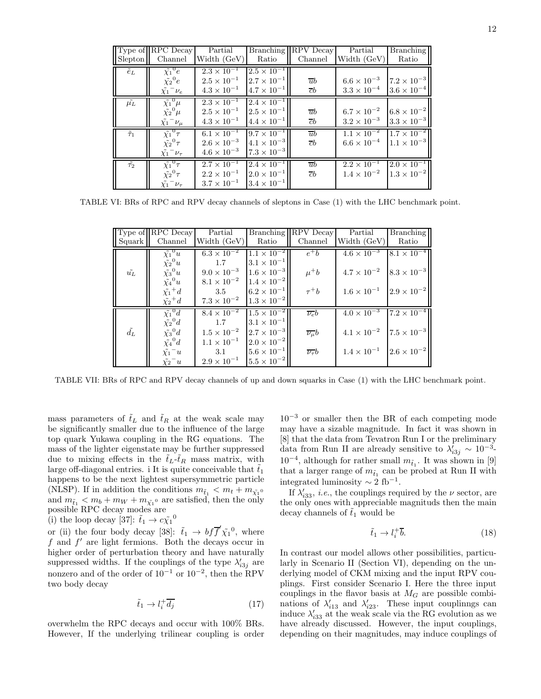| Slepton          | $\ $ Type of $\ $ RPC Decay<br>Channel | Partial<br>Width (GeV) | <b>Branching</b><br>Ratio | <b>RPV</b> Decay<br>Channel | Partial<br>Width (GeV) | <b>Branching</b><br>Ratio |
|------------------|----------------------------------------|------------------------|---------------------------|-----------------------------|------------------------|---------------------------|
| $\tilde{e}_L$    | $\tilde{\chi_1}^0 e^-$                 | $2.3 \times 10^{-1}$   | $2.5 \times 10^{-1}$      |                             |                        |                           |
|                  | $\tilde{\chi_2}^0 e^-$                 | $2.5 \times 10^{-1}$   | $2.7 \times 10^{-1}$      | $\overline{u}b$             | $6.6 \times 10^{-3}$   | $7.2 \times 10^{-3}$      |
|                  | $\tilde{\chi_1}^-\nu_e$                | $4.3 \times 10^{-1}$   | $4.7 \times 10^{-1}$      | cb                          | $3.3 \times 10^{-4}$   | $3.6 \times 10^{-4}$      |
| $\mu_L$          | $\tilde{\chi_1}^0 \mu$                 | $2.3 \times 10^{-1}$   | $2.4 \times 10^{-1}$      |                             |                        |                           |
|                  | $\tilde{\chi_2}^0 \mu$                 | $2.5 \times 10^{-1}$   | $2.5 \times 10^{-1}$      | $\overline{u}b$             | $6.7 \times 10^{-2}$   | $6.8 \times 10^{-2}$      |
|                  | $\tilde{\chi_1}^-\nu_\mu$              | $4.3 \times 10^{-1}$   | $4.4 \times 10^{-1}$      | $\overline{c}b$             | $3.2 \times 10^{-3}$   | $3.3 \times 10^{-3}$      |
| $\tilde{\tau}_1$ | $\tilde{\chi_1}^0 \tau$                | $6.1 \times 10^{-1}$   | $9.7 \times 10^{-1}$      | $\overline{u}b$             | $1.1 \times 10^{-2}$   | $1.7 \times 10^{-2}$      |
|                  | $\tilde{\chi_2}^0 \tau$                | $2.6 \times 10^{-3}$   | $4.1 \times 10^{-3}$      | $\bar{c}b$                  | $6.6\times10^{-4}$     | $1.1 \times 10^{-3}$      |
|                  | $\tilde{\chi_1}^-\nu_\tau$             | $4.6 \times 10^{-3}$   | $17.3 \times 10^{-3}$     |                             |                        |                           |
| $\tilde{\tau_2}$ | $\tilde{\chi_1}^0 \tau$                | $2.7 \times 10^{-1}$   | $2.4 \times 10^{-1}$      | $\overline{u}b$             | $2.2 \times 10^{-1}$   | $2.0 \times 10^{-1}$      |
|                  | $\tilde{\chi_2}^0 \tau$                | $2.2 \times 10^{-1}$   | $2.0 \times 10^{-1}$      | $\bar{c}b$                  | $1.4 \times 10^{-2}$   | $1.3 \times 10^{-2}$      |
|                  | $\tilde{\chi_1}^-\nu_\tau$             | $3.7 \times 10^{-1}$   | $3.4 \times 10^{-1}$      |                             |                        |                           |

TABLE VI: BRs of RPC and RPV decay channels of sleptons in Case (1) with the LHC benchmark point.

|                        | $\vert$ Type of $\vert$ RPC Decay | Partial              |                      | Branching   RPV Decay    | Partial                                   | <b>Branching</b>     |
|------------------------|-----------------------------------|----------------------|----------------------|--------------------------|-------------------------------------------|----------------------|
| $\vert$ Squark $\vert$ | Channel                           | Width (GeV)          | Ratio                | Channel                  | Width (GeV)                               | Ratio                |
|                        | $\tilde{\chi_1}^0 u$              | $6.3 \times 10^{-2}$ | $1.1 \times 10^{-2}$ | $e^+b$                   | $4.6 \times 10^{-3}$ $8.1 \times 10^{-4}$ |                      |
|                        | $\tilde{\chi_2}^0 u$              | 1.7                  | $3.1 \times 10^{-1}$ |                          |                                           |                      |
| $\tilde{u_L}$          | $\tilde{\chi_3}^0 u$              | $9.0 \times 10^{-3}$ | $1.6 \times 10^{-3}$ | $\mu^+b$                 | $4.7 \times 10^{-2}$ $8.3 \times 10^{-3}$ |                      |
|                        | $\tilde{\chi_4}^0 u$              | $8.1 \times 10^{-2}$ | $1.4 \times 10^{-2}$ |                          |                                           |                      |
|                        | $\tilde{\chi_1}^+d$               | 3.5                  | $6.2 \times 10^{-1}$ | $\tau^+b$                | $1.6 \times 10^{-1}$                      | $2.9 \times 10^{-2}$ |
|                        | $\tilde{\chi_2}^+d$               | $7.3 \times 10^{-2}$ | $1.3 \times 10^{-2}$ |                          |                                           |                      |
|                        | $\tilde{\chi_1}^0 d$              | $8.4 \times 10^{-2}$ | $1.5 \times 10^{-2}$ | $\nu_e b$                | $4.0 \times 10^{-3}$ 7.2 $\times 10^{-4}$ |                      |
|                        | $\tilde{\chi_2}^0 d$              | 1.7                  | $3.1 \times 10^{-1}$ |                          |                                           |                      |
| $\tilde{d_L}$          | $\tilde{\chi_3}^0 d$              | $1.5 \times 10^{-2}$ | $2.7 \times 10^{-3}$ | $\overline{\nu_\mu}b$    | $4.1 \times 10^{-2}$ 7.5 $\times 10^{-3}$ |                      |
|                        | $\tilde{\chi_4}^0 d$              | $1.1 \times 10^{-1}$ | $2.0 \times 10^{-2}$ |                          |                                           |                      |
|                        | $\tilde{\chi_1}^-u$               | 3.1                  | $5.6 \times 10^{-1}$ | $\overline{\nu_{\tau}}b$ | $1.4 \times 10^{-1}$                      | $2.6 \times 10^{-2}$ |
|                        | $\tilde{\chi_2}^-u$               | $2.9 \times 10^{-1}$ | $5.5 \times 10^{-2}$ |                          |                                           |                      |

TABLE VII: BRs of RPC and RPV decay channels of up and down squarks in Case (1) with the LHC benchmark point.

mass parameters of  $\tilde{t}_L$  and  $\tilde{t}_R$  at the weak scale may be significantly smaller due to the influence of the large top quark Yukawa coupling in the RG equations. The mass of the lighter eigenstate may be further suppressed due to mixing effects in the  $\tilde{t}_L - \tilde{t}_R$  mass matrix, with large off-diagonal entries. i It is quite conceivable that  $t_1$ happens to be the next lightest supersymmetric particle (NLSP). If in addition the conditions  $m_{\tilde{t}_1} < m_t + m_{\tilde{\chi_1}^0}$ and  $m_{\tilde{t}_1} < m_b + m_W + m_{\tilde{\chi_1}^0}$  are satisfied, then the only possible RPC decay modes are

(i) the loop decay [37]:  $\tilde{t}_1 \rightarrow c \tilde{\chi}_1^0$ 

or (ii) the four body decay [38]:  $\tilde{t}_1 \rightarrow bf\tilde{f}'\tilde{\chi}_1^0$ , where  $f$  and  $f'$  are light fermions. Both the decays occur in higher order of perturbation theory and have naturally suppressed widths. If the couplings of the type  $\lambda'_{i3j}$  are nonzero and of the order of  $10^{-1}$  or  $10^{-2}$ , then the RPV two body decay

$$
\tilde{t}_1 \to l_i^+ \overline{d_j} \tag{17}
$$

overwhelm the RPC decays and occur with 100% BRs. However, If the underlying trilinear coupling is order  $10^{-3}$  or smaller then the BR of each competing mode may have a sizable magnitude. In fact it was shown in [8] that the data from Tevatron Run I or the preliminary data from Run II are already sensitive to  $\lambda'_{i3j} \sim 10^{-3}$ - $10^{-4},$  although for rather small  $m_{\tilde{t}_1}.$  It was shown in  $[9]$ that a larger range of  $m_{\tilde{t}_1}$  can be probed at Run II with integrated luminosity  $\sim 2$  fb<sup>-1</sup>.

If  $\lambda'_{i33}$ , *i.e.*, the couplings required by the  $\nu$  sector, are the only ones with appreciable magnituds then the main decay channels of  $\tilde{t}_1$  would be

$$
\tilde{t}_1 \to l_i^+ \overline{b}.\tag{18}
$$

In contrast our model allows other possibilities, particularly in Scenario II (Section VI), depending on the underlying model of CKM mixing and the input RPV couplings. First consider Scenario I. Here the three input couplings in the flavor basis at  $M_G$  are possible combinations of  $\lambda'_{i13}$  and  $\lambda'_{i23}$ . These input couplinngs can induce  $\lambda'_{33}$  at the weak scale via the RG evolution as we have already discussed. However, the input couplings, depending on their magnitudes, may induce couplings of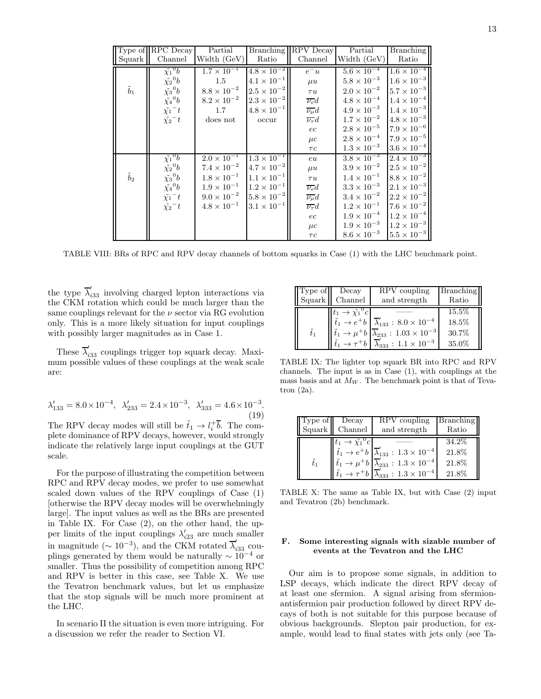|               | Type of RPC Decay    | Partial              | <b>Branching</b>     | RPV Decay             | Partial              | <b>Branching</b>     |
|---------------|----------------------|----------------------|----------------------|-----------------------|----------------------|----------------------|
| Squark        | Channel              | Width (GeV)          | Ratio                | Channel               | Width (GeV)          | Ratio                |
|               | $\tilde{\chi_1}^0 b$ | $1.7 \times 10^{-1}$ | $4.8 \times 10^{-2}$ | $e^-u$                | $5.6 \times 10^{-4}$ | $1.6 \times 10^{-4}$ |
|               | $\tilde{\chi_2}^0 b$ | 1.5                  | $4.1 \times 10^{-1}$ | $\mu u$               | $5.8 \times 10^{-3}$ | $1.6 \times 10^{-3}$ |
| $\tilde{b}_1$ | $\tilde{\chi_3}^0 b$ | $8.8\times10^{-2}$   | $2.5 \times 10^{-2}$ | $\tau u$              | $2.0\times10^{-2}$   | $5.7 \times 10^{-3}$ |
|               | $\tilde{\chi_4}^0 b$ | $8.2 \times 10^{-2}$ | $2.3 \times 10^{-2}$ | $\overline{\nu_e}d$   | $4.8\times10^{-4}$   | $1.4\times10^{-4}$   |
|               | $\tilde{\chi_1}^-t$  | $1.7\,$              | $4.8\times10^{-1}$   | $\overline{\nu_\mu}d$ | $4.9 \times 10^{-3}$ | $1.4 \times 10^{-3}$ |
|               | $\tilde{\chi_2}^-t$  | does not             | occur                | $\nu_{\tau}d$         | $1.7 \times 10^{-2}$ | $4.8 \times 10^{-3}$ |
|               |                      |                      |                      | ec                    | $2.8 \times 10^{-5}$ | $7.9 \times 10^{-6}$ |
|               |                      |                      |                      | $\mu c$               | $2.8\times10^{-4}$   | $7.9 \times 10^{-5}$ |
|               |                      |                      |                      | $\tau c$              | $1.3 \times 10^{-3}$ | $3.6 \times 10^{-4}$ |
|               | $\tilde{\chi_1}^0 b$ | $2.0 \times 10^{-1}$ | $1.3 \times 10^{-1}$ | eu                    | $3.8 \times 10^{-3}$ | $2.4 \times 10^{-3}$ |
|               | $\tilde{\chi_2}^0 b$ | $7.4 \times 10^{-2}$ | $4.7 \times 10^{-2}$ | $\mu u$               | $3.9 \times 10^{-2}$ | $2.5 \times 10^{-2}$ |
| $\tilde{b}_2$ | $\tilde{\chi_3}^0 b$ | $1.8\times10^{-1}$   | $1.1 \times 10^{-1}$ | $\tau u$              | $1.4 \times 10^{-1}$ | $8.8 \times 10^{-2}$ |
|               | $\tilde{\chi_4}^0 b$ | $1.9\times10^{-1}$   | $1.2 \times 10^{-1}$ | $\overline{\nu_e}d$   | $3.3\times10^{-3}$   | $2.1 \times 10^{-3}$ |
|               | $\tilde{\chi_1}^-t$  | $9.0\times10^{-2}$   | $5.8 \times 10^{-2}$ | $\overline{\nu_\mu}d$ | $3.4 \times 10^{-2}$ | $2.2 \times 10^{-2}$ |
|               | $\tilde{\chi_2}^-t$  | $4.8 \times 10^{-1}$ | $3.1 \times 10^{-1}$ | $\nu_{\tau}d$         | $1.2 \times 10^{-1}$ | $7.6 \times 10^{-2}$ |
|               |                      |                      |                      | ec                    | $1.9 \times 10^{-4}$ | $1.2 \times 10^{-4}$ |
|               |                      |                      |                      | $\mu c$               | $1.9 \times 10^{-3}$ | $1.2 \times 10^{-3}$ |
|               |                      |                      |                      | $\tau c$              | $8.6 \times 10^{-3}$ | $5.5 \times 10^{-3}$ |

TABLE VIII: BRs of RPC and RPV decay channels of bottom squarks in Case (1) with the LHC benchmark point.

the type  $\overline{\lambda}'_{i33}$  involving charged lepton interactions via the CKM rotation which could be much larger than the same couplings relevant for the  $\nu$  sector via RG evolution only. This is a more likely situation for input couplings with possibly larger magnitudes as in Case 1.

These  $\overline{\lambda}'_{i33}$  couplings trigger top squark decay. Maximum possible values of these couplings at the weak scale are:

$$
\lambda'_{133} = 8.0 \times 10^{-4}, \ \lambda'_{233} = 2.4 \times 10^{-3}, \ \lambda'_{333} = 4.6 \times 10^{-3}.
$$
\n(19)

The RPV decay modes will still be  $\tilde{t}_1 \to l_i^+ \overline{b}$ . The complete dominance of RPV decays, however, would strongly indicate the relatively large input couplings at the GUT scale.

For the purpose of illustrating the competition between RPC and RPV decay modes, we prefer to use somewhat scaled down values of the RPV couplings of Case (1) [otherwise the RPV decay modes will be overwhelmingly large]. The input values as well as the BRs are presented in Table IX. For Case (2), on the other hand, the upper limits of the input couplings  $\lambda'_{i23}$  are much smaller in magnitude ( $\sim 10^{-3}$ ), and the CKM rotated  $\overline{\lambda}'_{i33}$  couplings generated by them would be naturally  $\sim 10^{-4}$  or smaller. Thus the possibility of competition among RPC and RPV is better in this case, see Table X. We use the Tevatron benchmark values, but let us emphasize that the stop signals will be much more prominent at the LHC.

In scenario II the situation is even more intriguing. For a discussion we refer the reader to Section VI.

| Type of       | Decay                                        | RPV coupling                                                                                     | Branching |
|---------------|----------------------------------------------|--------------------------------------------------------------------------------------------------|-----------|
|               | Squark Channel                               | and strength                                                                                     | Ratio     |
|               | $\tilde{t}_1 \rightarrow \tilde{\chi_1}^0 c$ |                                                                                                  | 15.5%     |
|               |                                              | $\tilde{t}_1 \rightarrow e^+ b \mid \overline{\lambda}'_{133} : 8.0 \times 10^{-4}$              | 18.5%     |
| $\tilde{t}_1$ |                                              | $\tilde{t}_1 \rightarrow \mu^+ b \left  \overline{\lambda}'_{233} : 1.03 \times 10^{-3} \right $ | 30.7%     |
|               |                                              | $\tilde{t}_1 \rightarrow \tau^+ b \mid \overline{\lambda}'_{333} : 1.1 \times 10^{-3}$           | 35.0%     |

TABLE IX: The lighter top squark BR into RPC and RPV channels. The input is as in Case (1), with couplings at the mass basis and at  $M_W$ . The benchmark point is that of Tevatron  $(2a)$ .

| $ Type\ of $  | Decay                                        | RPV coupling                                                                                                                                                                                                                                                 | Branching                         |
|---------------|----------------------------------------------|--------------------------------------------------------------------------------------------------------------------------------------------------------------------------------------------------------------------------------------------------------------|-----------------------------------|
| Squark        | Channel                                      | and strength                                                                                                                                                                                                                                                 | Ratio                             |
| $\tilde{t}_1$ | $\tilde{t}_1 \rightarrow \tilde{\chi_1}^0 c$ | $\tilde{t}_1 \rightarrow e^+ b \mid \overline{\lambda}'_{133} : 1.3 \times 10^{-4}$<br>$\tilde{t}_1 \to \mu^+ b \,  \overline{\lambda}'_{233} : 1.3 \times 10^{-4}$<br>$\tilde{t}_1 \rightarrow \tau^+ b \mid \overline{\lambda}_{333}': 1.3 \times 10^{-4}$ | 34.2\%<br>21.8%<br>21.8%<br>21.8% |

TABLE X: The same as Table IX, but with Case (2) input and Tevatron (2b) benchmark.

## F. Some interesting signals with sizable number of events at the Tevatron and the LHC

Our aim is to propose some signals, in addition to LSP decays, which indicate the direct RPV decay of at least one sfermion. A signal arising from sfermionantisfermion pair production followed by direct RPV decays of both is not suitable for this purpose because of obvious backgrounds. Slepton pair production, for example, would lead to final states with jets only (see Ta-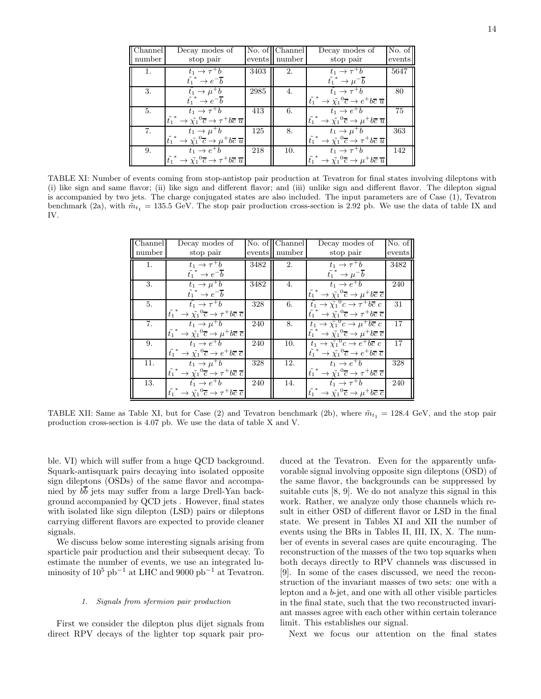| Channel | Decay modes of                                                                             |      | No. of Channel | Decay modes of                                                                             | No. of |
|---------|--------------------------------------------------------------------------------------------|------|----------------|--------------------------------------------------------------------------------------------|--------|
| number  | stop pair                                                                                  |      | events number  | stop pair                                                                                  | events |
| 1.      | $t_1 \rightarrow \tau^+ b$                                                                 | 3403 | 2.             | $t_1 \rightarrow \overline{\tau^+ b}$                                                      | 5647   |
|         | $\tilde{t_1}^* \rightarrow e^- \overline{b}$                                               |      |                | $\tilde{t_1}^* \rightarrow \mu^- \overline{b}$                                             |        |
| 3.      | $t_1 \rightarrow \mu^+ \overline{b}$                                                       | 2985 | 4.             | $t_1 \rightarrow \tau^+ b$                                                                 | 80     |
|         | $\tilde{t_1}^* \rightarrow e^- \overline{b}$                                               |      |                | $\tilde{t_1}^* \to \tilde{\chi_1}^0 \overline{c} \to e^+ b \overline{c} \ \overline{u}$    |        |
| 5.      | $t_1 \rightarrow \tau^+ b$                                                                 | 413  | 6.             | $t_1 \rightarrow e^+b$                                                                     | 75     |
|         | $\tilde{t_1}^* \to \tilde{\chi_1}^0 \overline{c} \to \tau^+ b \overline{c} \ \overline{u}$ |      |                | $\tilde{t_1}^* \to \tilde{\chi_1}^0 \overline{c} \to \mu^+ b \overline{c} \ \overline{u}$  |        |
| 7.      | $t_1 \rightarrow \mu^+ b$                                                                  | 125  | 8.             | $t_1 \rightarrow \mu^+ b$                                                                  | 363    |
|         | $\tilde{t_1}^* \to \tilde{\chi_1}^0 \overline{c} \to \mu^+ b \overline{c} \ \overline{u}$  |      |                | $\tilde{t_1}^* \to \tilde{\chi_1}^0 \overline{c} \to \tau^+ b \overline{c} \ \overline{u}$ |        |
| 9.      | $t_1 \rightarrow e^+b$                                                                     | -218 | 10.            | $t_1 \rightarrow \tau^+ b$                                                                 | 142    |
|         | $\tilde{t_1}^* \to \tilde{\chi_1}^0 \overline{c} \to \tau^+ b \overline{c} \ \overline{u}$ |      |                | $\tilde{t_1}^* \to \tilde{\chi_1}^0 \overline{c} \to \mu^+ b \overline{c} \ \overline{u}$  |        |

TABLE XI: Number of events coming from stop-antistop pair production at Tevatron for final states involving dileptons with (i) like sign and same flavor; (ii) like sign and different flavor; and (iii) unlike sign and different flavor. The dilepton signal is accompanied by two jets. The charge conjugated states are also included. The input parameters are of Case (1), Tevatron benchmark (2a), with  $\tilde{m}_{t_1} = 135.5$  GeV. The stop pair production cross-section is 2.92 pb. We use the data of table IX and IV.

| Channel        | Decay modes of                                                                             |      | No. of Channel | Decay modes of                                                                             | No. of |
|----------------|--------------------------------------------------------------------------------------------|------|----------------|--------------------------------------------------------------------------------------------|--------|
| number         | stop pair                                                                                  |      | events number  | stop pair                                                                                  | events |
| $\mathbf{1}$ . | $\tilde{t_1} \rightarrow \tau^+ b$                                                         | 3482 | 2.             | $t_1 \rightarrow \tau^+ b$                                                                 | 3482   |
|                | $\tilde{t_1}^* \rightarrow e^- \overline{b}$                                               |      |                | $\tilde{t_1}^* \rightarrow \mu^- \overline{b}$                                             |        |
| 3.             | $t_1 \rightarrow \overline{\mu^+ b}$                                                       | 3482 | 4.             | $t_1 \rightarrow e^+ b$                                                                    | 240    |
|                | $\tilde{t_1}^* \rightarrow e^- \overline{b}$                                               |      |                | $\tilde{t_1}^* \to \tilde{\chi_1}^0 \overline{c} \to \mu^+ b \overline{c} \overline{c}$    |        |
| 5.             | $\tilde{t}_1 \rightarrow \tau^+ b$                                                         | 328  | 6.             | $\tilde{t}_1 \rightarrow \tilde{\chi_1}^0 c \rightarrow \tau^+ b \overline{c} c$           | 31     |
|                | $\tilde{t_1}^* \to \tilde{\chi_1}^0 \overline{c} \to \tau^+ b \overline{c} \ \overline{c}$ |      |                | $\tilde{t_1}^* \to \tilde{\chi_1}^0 \overline{c} \to \tau^+ b \overline{c} \ \overline{c}$ |        |
| 7.             | $t_1 \rightarrow \mu^+ b$                                                                  | 240  | 8.             | $t_1 \rightarrow \tilde{\chi}_1^0 c \rightarrow \mu^+ b \overline{c} c$                    | 17     |
|                | $\tilde{t_1}^* \to \tilde{\chi_1}^0 \overline{c} \to \mu^+ b \overline{c} \overline{c}$    |      |                | $\tilde{t_1}^* \to \tilde{\chi_1}^0 \overline{c} \to \mu^+ b \overline{c} \overline{c}$    |        |
| 9.             | $t_1 \rightarrow e^+ b$                                                                    | 240  | 10.            | $t_1 \rightarrow \tilde{\chi}_1^0 c \rightarrow e^+ b \overline{c} c$                      | 17     |
|                | $\tilde{t_1}^* \to \tilde{\chi_1}^0 \overline{c} \to e^+ b \overline{c} \ \overline{c}$    |      |                | $\tilde{t_1}^* \to \tilde{\chi_1}^0 \overline{c} \to e^+ b \overline{c} \overline{c}$      |        |
| 11.            | $\tilde{t_1} \rightarrow \mu^+ b$                                                          | 328  | 12.            | $t_1 \rightarrow e^+b$                                                                     | 328    |
|                | $\tilde{t_1}^* \to \tilde{\chi_1}^0 \overline{c} \to \tau^+ b \overline{c} \ \overline{c}$ |      |                | $\tilde{t_1}^* \to \tilde{\chi_1}^0 \overline{c} \to \tau^+ b \overline{c} \overline{c}$   |        |
| 13.            | $t_1 \rightarrow e^+ b$                                                                    | 240  | 14.            | $t_1 \rightarrow \tau^+ b$                                                                 | 240    |
|                | $\tilde{t_1}^* \to \tilde{\chi_1}^0 \overline{c} \to \tau^+ b \overline{c} \ \overline{c}$ |      |                | $\tilde{t_1}^* \to \tilde{\chi_1}^0 \overline{c} \to \mu^+ b \overline{c} \overline{c}$    |        |

TABLE XII: Same as Table XI, but for Case (2) and Tevatron benchmark (2b), where  $\tilde{m}_{t_1} = 128.4 \text{ GeV}$ , and the stop pair production cross-section is 4.07 pb. We use the data of table X and V.

ble. VI) which will suffer from a huge QCD background. Squark-antisquark pairs decaying into isolated opposite sign dileptons (OSDs) of the same flavor and accompanied by bb jets may suffer from a large Drell-Yan background accompanied by QCD jets . However, final states with isolated like sign dilepton (LSD) pairs or dileptons carrying different flavors are expected to provide cleaner signals.

We discuss below some interesting signals arising from sparticle pair production and their subsequent decay. To estimate the number of events, we use an integrated luminosity of  $10^5$  pb<sup>-1</sup> at LHC and 9000 pb<sup>-1</sup> at Tevatron.

## 1. Signals from sfermion pair production

First we consider the dilepton plus dijet signals from direct RPV decays of the lighter top squark pair produced at the Tevatron. Even for the apparently unfavorable signal involving opposite sign dileptons (OSD) of the same flavor, the backgrounds can be suppressed by suitable cuts [8, 9]. We do not analyze this signal in this work. Rather, we analyze only those channels which result in either OSD of different flavor or LSD in the final state. We present in Tables XI and XII the number of events using the BRs in Tables II, III, IX, X. The number of events in several cases are quite encouraging. The reconstruction of the masses of the two top squarks when both decays directly to RPV channels was discussed in [9]. In some of the cases discussed, we need the reconstruction of the invariant masses of two sets: one with a lepton and a b-jet, and one with all other visible particles in the final state, such that the two reconstructed invariant masses agree with each other within certain tolerance limit. This establishes our signal.

Next we focus our attention on the final states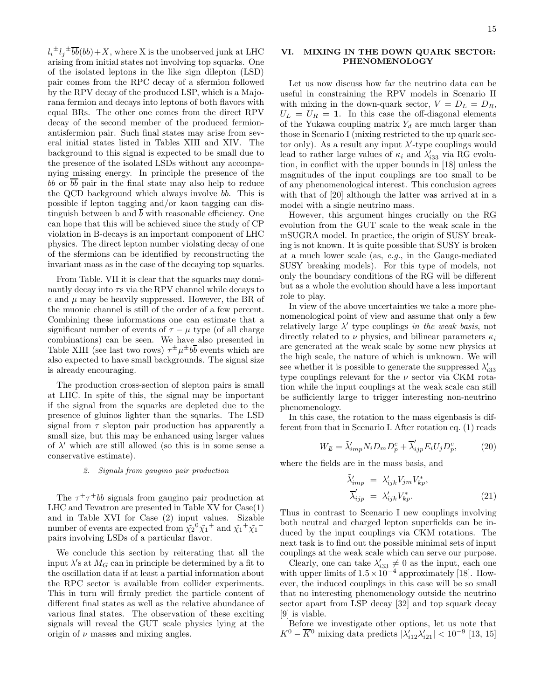$l_i^{\pm}l_j^{\pm}\overline{bb}(bb)+X$ , where X is the unobserved junk at LHC arising from initial states not involving top squarks. One of the isolated leptons in the like sign dilepton (LSD) pair comes from the RPC decay of a sfermion followed by the RPV decay of the produced LSP, which is a Majorana fermion and decays into leptons of both flavors with equal BRs. The other one comes from the direct RPV decay of the second member of the produced fermionantisfermion pair. Such final states may arise from several initial states listed in Tables XIII and XIV. The background to this signal is expected to be small due to the presence of the isolated LSDs without any accompanying missing energy. In principle the presence of the bb or  $\overline{bb}$  pair in the final state may also help to reduce the QCD background which always involve  $b\overline{b}$ . This is possible if lepton tagging and/or kaon tagging can distinguish between b and  $\overline{b}$  with reasonable efficiency. One can hope that this will be achieved since the study of CP violation in B-decays is an important component of LHC physics. The direct lepton number violating decay of one of the sfermions can be identified by reconstructing the invariant mass as in the case of the decaying top squarks.

From Table. VII it is clear that the squarks may dominantly decay into τs via the RPV channel while decays to  $e$  and  $\mu$  may be heavily suppressed. However, the BR of the muonic channel is still of the order of a few percent. Combining these informations one can estimate that a significant number of events of  $\tau - \mu$  type (of all charge combinations) can be seen. We have also presented in Table XIII (see last two rows)  $\tau^{\pm} \mu^{\pm} b \overline{b}$  events which are also expected to have small backgrounds. The signal size is already encouraging.

The production cross-section of slepton pairs is small at LHC. In spite of this, the signal may be important if the signal from the squarks are depleted due to the presence of gluinos lighter than the squarks. The LSD signal from  $\tau$  slepton pair production has apparently a small size, but this may be enhanced using larger values of  $\lambda'$  which are still allowed (so this is in some sense a conservative estimate).

### 2. Signals from gaugino pair production

The  $\tau^+\tau^+bb$  signals from gaugino pair production at LHC and Tevatron are presented in Table XV for Case(1) and in Table XVI for Case (2) input values. Sizable number of events are expected from  $\tilde{\chi_2}^0 \tilde{\chi_1}^+$  and  $\tilde{\chi_1}^+ \tilde{\chi_1}^$ pairs involving LSDs of a particular flavor.

We conclude this section by reiterating that all the input  $\lambda$ 's at  $M_G$  can in principle be determined by a fit to the oscillation data if at least a partial information about the RPC sector is available from collider experiments. This in turn will firmly predict the particle content of different final states as well as the relative abundance of various final states. The observation of these exciting signals will reveal the GUT scale physics lying at the origin of  $\nu$  masses and mixing angles.

# VI. MIXING IN THE DOWN QUARK SECTOR: PHENOMENOLOGY

Let us now discuss how far the neutrino data can be useful in constraining the RPV models in Scenario II with mixing in the down-quark sector,  $V = D_L = D_R$ ,  $U_L = U_R = 1$ . In this case the off-diagonal elements of the Yukawa coupling matrix  $Y_d$  are much larger than those in Scenario I (mixing restricted to the up quark sector only). As a result any input  $\lambda'$ -type couplings would lead to rather large values of  $\kappa_i$  and  $\lambda'_{i33}$  via RG evolution, in conflict with the upper bounds in [18] unless the magnitudes of the input couplings are too small to be of any phenomenological interest. This conclusion agrees with that of [20] although the latter was arrived at in a model with a single neutrino mass.

However, this argument hinges crucially on the RG evolution from the GUT scale to the weak scale in the mSUGRA model. In practice, the origin of SUSY breaking is not known. It is quite possible that SUSY is broken at a much lower scale (as, e.g., in the Gauge-mediated SUSY breaking models). For this type of models, not only the boundary conditions of the RG will be different but as a whole the evolution should have a less important role to play.

In view of the above uncertainties we take a more phenomenological point of view and assume that only a few relatively large  $\lambda'$  type couplings in the weak basis, not directly related to  $\nu$  physics, and bilinear parameters  $\kappa_i$ are generated at the weak scale by some new physics at the high scale, the nature of which is unknown. We will see whether it is possible to generate the suppressed  $\lambda'_{i33}$ type couplings relevant for the  $\nu$  sector via CKM rotation while the input couplings at the weak scale can still be sufficiently large to trigger interesting non-neutrino phenomenology.

In this case, the rotation to the mass eigenbasis is different from that in Scenario I. After rotation eq. (1) reads

$$
W_{\mu} = \tilde{\lambda}_{imp}^{\prime} N_i D_m D_p^c + \overline{\lambda}_{ip}^{\prime} E_i U_j D_p^c, \qquad (20)
$$

where the fields are in the mass basis, and

$$
\tilde{\lambda}'_{imp} = \lambda'_{ijk} V_{jm} V_{kp}^*,
$$
\n
$$
\overline{\lambda}'_{ijp} = \lambda'_{ijk} V_{kp}^*.
$$
\n(21)

Thus in contrast to Scenario I new couplings involving both neutral and charged lepton superfields can be induced by the input couplings via CKM rotations. The next task is to find out the possible minimal sets of input couplings at the weak scale which can serve our purpose.

Clearly, one can take  $\lambda'_{i33} \neq 0$  as the input, each one with upper limits of  $1.5 \times 10^{-4}$  approximately [18]. However, the induced couplings in this case will be so small that no interesting phenomenology outside the neutrino sector apart from LSP decay [32] and top squark decay [9] is viable.

Before we investigate other options, let us note that  $K^0 - \overline{K}{}^0$  mixing data predicts  $|\lambda'_{i12}\lambda'_{i21}| < 10^{-9}$  [13, 15]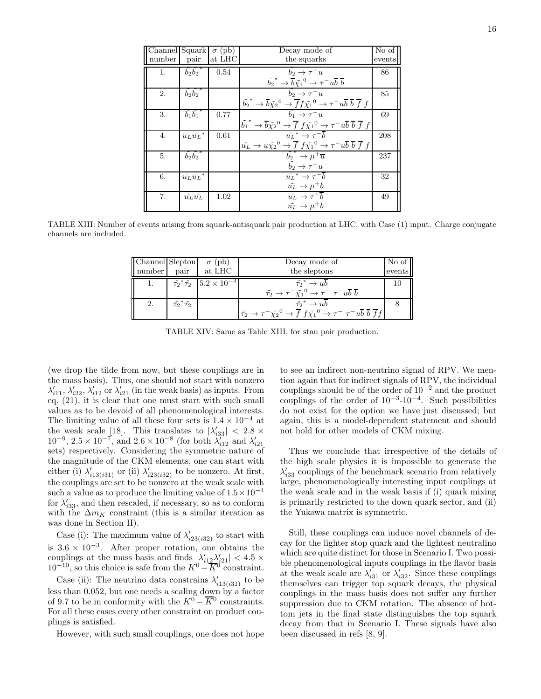| Channel Squark |                                | $\sigma$ (pb) | Decay mode of                                                                                                                                       | No of  |
|----------------|--------------------------------|---------------|-----------------------------------------------------------------------------------------------------------------------------------------------------|--------|
| number         | pair                           | at LHC        | the squarks                                                                                                                                         | events |
| $\mathbf{1}$ . | $\tilde{b_2}\tilde{b_2}^*$     | 0.54          | $b_2 \rightarrow \tau^- u$                                                                                                                          | 86     |
|                |                                |               | $\tilde{b_2}^* \rightarrow \overline{b} \tilde{\chi_1}^0 \rightarrow \tau^- u \overline{b} \ \overline{b}$                                          |        |
| 2.             | $\tilde{b_2}\tilde{b_2}^*$     |               | $b_2 \rightarrow \tau^- u$                                                                                                                          | 85     |
|                |                                |               | $\tilde{b_2}^* \to \overline{b_1} \tilde{\chi_2}^0 \to \overline{f} f \tilde{\chi_1}^0 \to \tau^- u \overline{b} \ \overline{b} \ \overline{f} \ f$ |        |
| 3.             | $\overline{b_1}\overline{b_1}$ | 0.77          | $b_1 \rightarrow \tau^- u$                                                                                                                          | 69     |
|                |                                |               | $\tilde{b_1}^* \to \overline{b} \tilde{\chi_2}^0 \to \overline{f} f \tilde{\chi_1}^0 \to \tau^- u \overline{b} \overline{b} \overline{f} f$         |        |
| 4.             | $\tilde{u_L} \tilde{u_L}^*$    | 0.61          | $\tilde{u_L}^* \rightarrow \tau^- \overline{b}$                                                                                                     | 208    |
|                |                                |               | $\tilde{u_L} \rightarrow u\tilde{\chi_2}^0 \rightarrow \overline{f} f\tilde{\chi_1}^0 \rightarrow \tau^- u\overline{b} \overline{b} \overline{f} f$ |        |
| 5.             | $\tilde{b_2}\tilde{b_2}^*$     |               | $\tilde{b_2}^* \rightarrow \mu^+ \overline{u}$                                                                                                      | 237    |
|                |                                |               | $b_2 \rightarrow \tau^- u$                                                                                                                          |        |
| 6.             | $\tilde{u_L} \tilde{u_L}^*$    |               | $\tilde{u_t}^* \rightarrow \tau^{-1}b$                                                                                                              | 32     |
|                |                                |               | $\tilde{u_L} \rightarrow \mu^+ b$                                                                                                                   |        |
| 7.             | $\tilde{u_L}\tilde{u_L}$       | 1.02          | $u_L \rightarrow \tau^+ b$                                                                                                                          | 49     |
|                |                                |               | $\tilde{u_L} \rightarrow \mu^+ b$                                                                                                                   |        |

TABLE XIII: Number of events arising from squark-antisquark pair production at LHC, with Case (1) input. Charge conjugate channels are included.

| Channel Slepton |                                  | $\sigma$ (pb)<br>number pair at LHC                       | Decay mode of<br>the sleptons                                                                                                                                                                         | $\overline{\text{No}}$ of<br>events |
|-----------------|----------------------------------|-----------------------------------------------------------|-------------------------------------------------------------------------------------------------------------------------------------------------------------------------------------------------------|-------------------------------------|
|                 |                                  | 1. $\tilde{\tau_2}^* \tilde{\tau_2}$ $5.2 \times 10^{-3}$ | $\tilde{\tau_2}^* \to u b$<br>$\tilde{\tau_2} \rightarrow \tau^- \tilde{\chi_1}^0 \rightarrow \tau^- \tau^- u \overline{b} \ \overline{b}$                                                            | 10                                  |
| 2.              | $\tilde{\tau_2}^*\tilde{\tau_2}$ |                                                           | $\tilde{\tau_2}^* \to u b$<br>$ \tilde{\tau_2} \rightarrow \tau^- \tilde{\chi_2}^0 \rightarrow \overline{f} f \tilde{\chi_1}^0 \rightarrow \tau^- \tau^- u \overline{b} \overline{b} \overline{f} f $ |                                     |

TABLE XIV: Same as Table XIII, for stau pair production.

(we drop the tilde from now, but these couplings are in the mass basis). Thus, one should not start with nonzero  $\lambda'_{i11}, \lambda'_{i22}, \lambda'_{i12}$  or  $\lambda'_{i21}$  (in the weak basis) as inputs. From eq. (21), it is clear that one must start with such small values as to be devoid of all phenomenological interests. The limiting value of all these four sets is  $1.4 \times 10^{-4}$  at the weak scale [18]. This translates to  $|\lambda'_{33}| < 2.8 \times$  $10^{-9}$ ,  $2.5 \times 10^{-7}$ , and  $2.6 \times 10^{-8}$  (for both  $\lambda'_{i12}$  and  $\lambda'_{i21}$ sets) respectively. Considering the symmetric nature of the magnitude of the CKM elements, one can start with either (i)  $\lambda'_{i13(i31)}$  or (ii)  $\lambda'_{i23(i32)}$  to be nonzero. At first, the couplings are set to be nonzero at the weak scale with such a value as to produce the limiting value of  $1.5 \times 10^{-4}$ for  $\lambda'_{i33}$ , and then rescaled, if necessary, so as to conform with the  $\Delta m_K$  constraint (this is a similar iteration as was done in Section II).

Case (i): The maximum value of  $\lambda'_{i23(i32)}$  to start with is  $3.6 \times 10^{-3}$ . After proper rotation, one obtains the couplings at the mass basis and finds  $|\lambda'_{i12}\lambda'_{i21}| < 4.5 \times$  $10^{-10}$ , so this choice is safe from the  $K^0 - \overline{K^0}$  constraint.

Case (ii): The neutrino data constrains  $\lambda'_{i13(i31)}$  to be less than 0.052, but one needs a scaling down by a factor of 9.7 to be in conformity with the  $K^0 - \overline{K}{}^0$  constraints. For all these cases every other constraint on product couplings is satisfied.

However, with such small couplings, one does not hope

to see an indirect non-neutrino signal of RPV. We mention again that for indirect signals of RPV, the individual couplings should be of the order of  $10^{-2}$  and the product couplings of the order of  $10^{-3}$ - $10^{-4}$ . Such possibilities do not exist for the option we have just discussed; but again, this is a model-dependent statement and should not hold for other models of CKM mixing.

Thus we conclude that irrespective of the details of the high scale physics it is impossible to generate the  $\lambda'_{i33}$  couplings of the benchmark scenario from relatively large, phenomenologically interesting input couplings at the weak scale and in the weak basis if (i) quark mixing is primarily restricted to the down quark sector, and (ii) the Yukawa matrix is symmetric.

Still, these couplings can induce novel channels of decay for the lighter stop quark and the lightest neutralino which are quite distinct for those in Scenario I. Two possible phenomenological inputs couplings in the flavor basis at the weak scale are  $\lambda'_{i31}$  or  $\lambda'_{i32}$ . Since these couplings themselves can trigger top squark decays, the physical couplings in the mass basis does not suffer any further suppression due to CKM rotation. The absence of bottom jets in the final state distinguishes the top squark decay from that in Scenario I. These signals have also been discussed in refs [8, 9].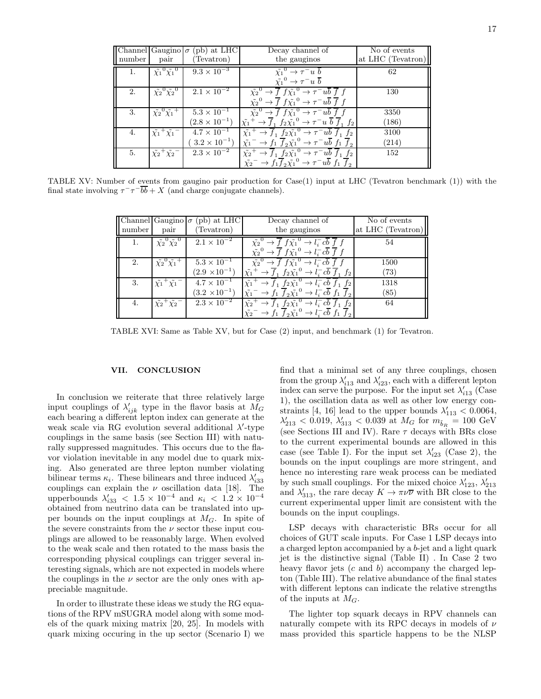|        |                                     | Channel Gaugino $\sigma$ (pb) at LHC | Decay channel of                                                                                                                   | No of events      |
|--------|-------------------------------------|--------------------------------------|------------------------------------------------------------------------------------------------------------------------------------|-------------------|
| number | pair                                | (Tevatron)                           | the gauginos                                                                                                                       | at LHC (Tevatron) |
| 1.     | $\tilde{\chi_1}^0 \tilde{\chi_1}^0$ | $9.3 \times 10^{-3}$                 | $\tilde{\chi_1}^0 \rightarrow \tau^- u \bar{b}$                                                                                    | 62                |
|        |                                     |                                      | $\tilde{\chi_1}^0 \rightarrow \tau^- u \overline{b}$                                                                               |                   |
| 2.     | $\tilde{\chi_2}^0 \tilde{\chi_2}^0$ | $2.1 \times 10^{-2}$                 | $\tilde{\chi_2}^0 \to \overline{f} f \tilde{\chi_1}^0 \to \tau^- u b \overline{f} f$                                               | 130               |
|        |                                     |                                      | $\tilde{\chi_2}^0 \to \overline{f} f \tilde{\chi_1}^0 \to \tau^- u \overline{b} \ \overline{f} f$                                  |                   |
| 3.     | $\tilde{\chi_2}^0 \tilde{\chi_1}^+$ | $5.3 \times 10^{-1}$                 | $\tilde{\chi_2}^0 \rightarrow \overline{f} f \tilde{\chi_1}^0 \rightarrow \tau^- u \overline{b} \ \overline{f} f$                  | 3350              |
|        |                                     | $(2.8 \times 10^{-1})$               | $\tilde{\chi_1}^+ \to \overline{f}_1$ $f_2 \tilde{\chi_1}^0 \to \tau^- u \overline{b} \ \overline{f}_1 \ f_2$                      | (186)             |
| 4.     | $\tilde{\chi_1}^+ \tilde{\chi_1}^-$ | $4.7 \times 10^{-1}$                 | $\tilde{\chi_1}^+ \to \overline{f}_1 f_2 \tilde{\chi_1}^0 \to \tau^- u \overline{b} \ \overline{f}_1 f_2$                          | 3100              |
|        |                                     | $3.2 \times 10^{-1}$                 | $\tilde{\chi_1}^ \rightarrow$ $f_1$ $\overline{f}_2 \tilde{\chi_1}^0$ $\rightarrow$ $\tau^- u \overline{b}$ $f_1$ $\overline{f}_2$ | (214)             |
| 5.     | $\tilde{\chi_2}^+ \tilde{\chi_2}^-$ | $2.3 \times 10^{-2}$                 | $\tilde{\chi_2}^+ \to \overline{f}_1 f_2 \tilde{\chi_1}^0 \to \tau^- u \overline{b} \ \overline{f}_1 f_2$                          | 152               |
|        |                                     |                                      | $\tilde{\chi_2}^ \rightarrow f_1 \overline{f}_2 \tilde{\chi_1}^0$ $\rightarrow \tau^- u \overline{b} f_1 \overline{f}_2$           |                   |

TABLE XV: Number of events from gaugino pair production for Case(1) input at LHC (Tevatron benchmark (1)) with the final state involving  $\tau^-\tau^-b\overline{b}+X$  (and charge conjugate channels).

| number | pair                                | Channel Gaugino $\sigma$ (pb) at LHC<br>(Tevatron) | Decay channel of<br>the gauginos                                                                                                                                                                                                                                 | No of events<br>at LHC (Tevatron) |
|--------|-------------------------------------|----------------------------------------------------|------------------------------------------------------------------------------------------------------------------------------------------------------------------------------------------------------------------------------------------------------------------|-----------------------------------|
| 1.     | $\tilde{\chi_2}^0 \tilde{\chi_2}^0$ | $2.1 \times 10^{-2}$                               | $\tilde{\chi_2}^0 \rightarrow \overline{f} f \tilde{\chi_1}^0 \rightarrow l_i^- c\overline{b} \ \overline{f} f$<br>$\rightarrow \overline{f} f \tilde{\chi_1}^0 \rightarrow l_i^- c\overline{b} \ \overline{f} f$<br>$\tilde{\chi_2}^0$                          | 54                                |
| 2.     | $\tilde{\chi_2}^0 \tilde{\chi_1}^+$ | $5.3 \times 10^{-1}$<br>$(2.9 \times 10^{-1})$     | $\tilde{\chi_2}^0 \rightarrow \overline{f} f \tilde{\chi_1}^0 \rightarrow l_i^- c\overline{b} \ \overline{f} f$<br>$\tilde{\chi_1}^+ \to \overline{f}_1 f_2 \tilde{\chi_1}^0 \to l_i^- c\overline{b} \ \overline{f}_1 f_2$                                       | 1500<br>(73)                      |
| 3.     | $\tilde{\chi_1}^+ \tilde{\chi_1}^-$ | $4.7 \times 10^{-1}$<br>$(3.2 \times 10^{-1})$     | $\tilde{\chi_1}^+ \to \overline{f}_1 f_2 \tilde{\chi_1}^0 \to l_i^- c\overline{b} \ \overline{f}_1 f_2$<br>$\tilde{\chi_1}^ \rightarrow$ $f_1$ $\overline{f}_2 \tilde{\chi_1}^0$ $\rightarrow$ $l_i^- c\overline{b}$ $f_1$ $\overline{f}_2$                      | 1318<br>(85)                      |
| 4.     | $\tilde{\chi_2}^+ \tilde{\chi_2}^-$ | $2.3 \times 10^{-2}$                               | $\tilde{\chi_2}^+ \rightarrow \overline{f}_1$ $f_2 \tilde{\chi_1}^0 \rightarrow l_i^- c \overline{b} \ \overline{f}_1$ $f_2$<br>$\tilde{\chi_2}^ \rightarrow$ $f_1$ $\overline{f}_2 \tilde{\chi_1}^0$ $\rightarrow$ $l_i^- c\overline{b}$ $f_1$ $\overline{f}_2$ | 64                                |

TABLE XVI: Same as Table XV, but for Case (2) input, and benchmark (1) for Tevatron.

### VII. CONCLUSION

In conclusion we reiterate that three relatively large input couplings of  $\lambda'_{ijk}$  type in the flavor basis at  $M_G$ each bearing a different lepton index can generate at the weak scale via RG evolution several additional  $\lambda'$ -type couplings in the same basis (see Section III) with naturally suppressed magnitudes. This occurs due to the flavor violation inevitable in any model due to quark mixing. Also generated are three lepton number violating bilinear terms  $\kappa_i$ . These bilinears and three induced  $\lambda'_i$ bilinear terms  $\kappa_i$ . These bilinears and time induced  $\lambda_{i33}$  couplings can explain the  $\nu$  oscillation data [18]. The upperbounds  $\lambda'_{i33}$  <  $1.5 \times 10^{-4}$  and  $\kappa_i$  <  $1.2 \times 10^{-4}$ obtained from neutrino data can be translated into upper bounds on the input couplings at  $M<sub>G</sub>$ . In spite of the severe constraints from the  $\nu$  sector these input couplings are allowed to be reasonably large. When evolved to the weak scale and then rotated to the mass basis the corresponding physical couplings can trigger several interesting signals, which are not expected in models where the couplings in the  $\nu$  sector are the only ones with appreciable magnitude.

In order to illustrate these ideas we study the RG equations of the RPV mSUGRA model along with some models of the quark mixing matrix [20, 25]. In models with quark mixing occuring in the up sector (Scenario I) we

find that a minimal set of any three couplings, chosen from the group  $\lambda'_{i13}$  and  $\lambda'_{i23}$ , each with a different lepton index can serve the purpose. For the input set  $\lambda'_{i13}$  (Case 1), the oscillation data as well as other low energy constraints [4, 16] lead to the upper bounds  $\lambda'_{113} < 0.0064$ ,  $\lambda'_{213}$  < 0.019,  $\lambda'_{313}$  < 0.039 at  $M_G$  for  $m_{\tilde{b}_R} = 100$  GeV (see Sections III and IV). Rare  $\tau$  decays with BRs close to the current experimental bounds are allowed in this case (see Table I). For the input set  $\lambda'_{i23}$  (Case 2), the bounds on the input couplings are more stringent, and hence no interesting rare weak process can be mediated by such small couplings. For the mixed choice  $\lambda'_{123}$ ,  $\lambda'_{213}$ and  $\lambda'_{313}$ , the rare decay  $K \to \pi \nu \overline{\nu}$  with BR close to the current experimental upper limit are consistent with the bounds on the input couplings.

LSP decays with characteristic BRs occur for all choices of GUT scale inputs. For Case 1 LSP decays into a charged lepton accompanied by a b-jet and a light quark jet is the distinctive signal (Table II) . In Case 2 two heavy flavor jets  $(c \text{ and } b)$  accompany the charged lepton (Table III). The relative abundance of the final states with different leptons can indicate the relative strengths of the inputs at  $M_G$ .

The lighter top squark decays in RPV channels can naturally compete with its RPC decays in models of  $\nu$ mass provided this sparticle happens to be the NLSP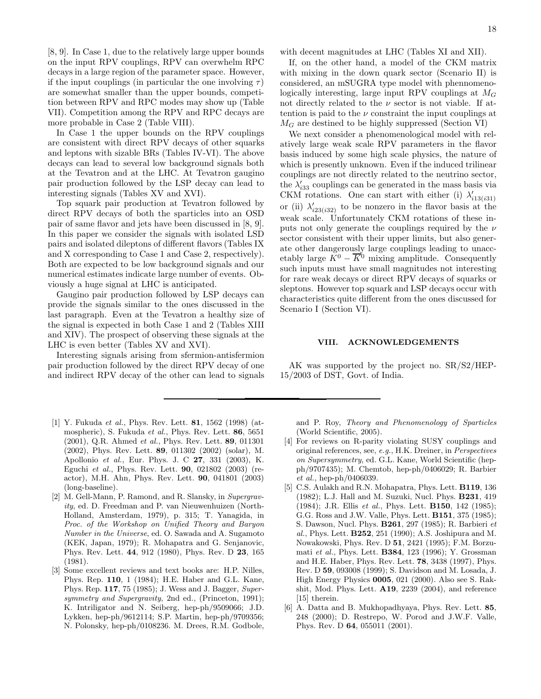[8, 9]. In Case 1, due to the relatively large upper bounds on the input RPV couplings, RPV can overwhelm RPC decays in a large region of the parameter space. However, if the input couplings (in particular the one involving  $\tau$ ) are somewhat smaller than the upper bounds, competition between RPV and RPC modes may show up (Table VII). Competition among the RPV and RPC decays are more probable in Case 2 (Table VIII).

In Case 1 the upper bounds on the RPV couplings are consistent with direct RPV decays of other squarks and leptons with sizable BRs (Tables IV-VI). The above decays can lead to several low background signals both at the Tevatron and at the LHC. At Tevatron gaugino pair production followed by the LSP decay can lead to interesting signals (Tables XV and XVI).

Top squark pair production at Tevatron followed by direct RPV decays of both the sparticles into an OSD pair of same flavor and jets have been discussed in [8, 9]. In this paper we consider the signals with isolated LSD pairs and isolated dileptons of different flavors (Tables IX and X corresponding to Case 1 and Case 2, respectively). Both are expected to be low background signals and our numerical estimates indicate large number of events. Obviously a huge signal at LHC is anticipated.

Gaugino pair production followed by LSP decays can provide the signals similar to the ones discussed in the last paragraph. Even at the Tevatron a healthy size of the signal is expected in both Case 1 and 2 (Tables XIII and XIV). The prospect of observing these signals at the LHC is even better (Tables XV and XVI).

Interesting signals arising from sfermion-antisfermion pair production followed by the direct RPV decay of one and indirect RPV decay of the other can lead to signals

- [1] Y. Fukuda et al., Phys. Rev. Lett. 81, 1562 (1998) (atmospheric), S. Fukuda et al., Phys. Rev. Lett. 86, 5651 (2001), Q.R. Ahmed et al., Phys. Rev. Lett. 89, 011301 (2002), Phys. Rev. Lett. 89, 011302 (2002) (solar), M. Apollonio et al., Eur. Phys. J. C 27, 331 (2003), K. Eguchi et al., Phys. Rev. Lett. 90, 021802 (2003) (reactor), M.H. Ahn, Phys. Rev. Lett. 90, 041801 (2003) (long-baseline).
- [2] M. Gell-Mann, P. Ramond, and R. Slansky, in Supergravity, ed. D. Freedman and P. van Nieuwenhuizen (North-Holland, Amsterdam, 1979), p. 315; T. Yanagida, in Proc. of the Workshop on Unified Theory and Baryon Number in the Universe, ed. O. Sawada and A. Sugamoto (KEK, Japan, 1979); R. Mohapatra and G. Senjanovic, Phys. Rev. Lett. 44, 912 (1980), Phys. Rev. D 23, 165 (1981).
- [3] Some excellent reviews and text books are: H.P. Nilles, Phys. Rep. 110, 1 (1984); H.E. Haber and G.L. Kane, Phys. Rep. 117, 75 (1985); J. Wess and J. Bagger, Supersymmetry and Supergravity, 2nd ed., (Princeton, 1991); K. Intriligator and N. Seiberg, hep-ph/9509066; J.D. Lykken, hep-ph/9612114; S.P. Martin, hep-ph/9709356; N. Polonsky, hep-ph/0108236. M. Drees, R.M. Godbole,

with decent magnitudes at LHC (Tables XI and XII).

If, on the other hand, a model of the CKM matrix with mixing in the down quark sector (Scenario II) is considered, an mSUGRA type model with phennomenologically interesting, large input RPV couplings at  $M_G$ not directly related to the  $\nu$  sector is not viable. If attention is paid to the  $\nu$  constraint the input couplings at  $M_G$  are destined to be highly suppressed (Section VI)

We next consider a phenomenological model with relatively large weak scale RPV parameters in the flavor basis induced by some high scale physics, the nature of which is presently unknown. Even if the induced trilinear couplings are not directly related to the neutrino sector, the  $\lambda'_{i33}$  couplings can be generated in the mass basis via CKM rotations. One can start with either (i)  $\lambda'_{i13(i31)}$ or (ii)  $\lambda'_{i23(i32)}$  to be nonzero in the flavor basis at the weak scale. Unfortunately CKM rotations of these inputs not only generate the couplings required by the  $\nu$ sector consistent with their upper limits, but also generate other dangerously large couplings leading to unaccetably large  $K^0 - \overline{K}{}^0$  mixing amplitude. Consequently such inputs must have small magnitudes not interesting for rare weak decays or direct RPV decays of squarks or sleptons. However top squark and LSP decays occur with characteristics quite different from the ones discussed for Scenario I (Section VI).

### VIII. ACKNOWLEDGEMENTS

AK was supported by the project no. SR/S2/HEP-15/2003 of DST, Govt. of India.

and P. Roy, Theory and Phenomenology of Sparticles (World Scientific, 2005).

- [4] For reviews on R-parity violating SUSY couplings and original references, see, e.g., H.K. Dreiner, in Perspectives on Supersymmetry, ed. G.L. Kane, World Scientific (hepph/9707435); M. Chemtob, hep-ph/0406029; R. Barbier et al., hep-ph/0406039.
- [5] C.S. Aulakh and R.N. Mohapatra, Phys. Lett. **B119**, 136 (1982); L.J. Hall and M. Suzuki, Nucl. Phys. B231, 419 (1984); J.R. Ellis et al., Phys. Lett. B150, 142 (1985); G.G. Ross and J.W. Valle, Phys. Lett. B151, 375 (1985); S. Dawson, Nucl. Phys. B261, 297 (1985); R. Barbieri et al., Phys. Lett. B252, 251 (1990); A.S. Joshipura and M. Nowakowski, Phys. Rev. D 51, 2421 (1995); F.M. Borzumati et al., Phys. Lett. B384, 123 (1996); Y. Grossman and H.E. Haber, Phys. Rev. Lett. 78, 3438 (1997), Phys. Rev. D 59, 093008 (1999); S. Davidson and M. Losada, J. High Energy Physics 0005, 021 (2000). Also see S. Rakshit, Mod. Phys. Lett. A19, 2239 (2004), and reference [15] therein.
- [6] A. Datta and B. Mukhopadhyaya, Phys. Rev. Lett. 85, 248 (2000); D. Restrepo, W. Porod and J.W.F. Valle, Phys. Rev. D 64, 055011 (2001).